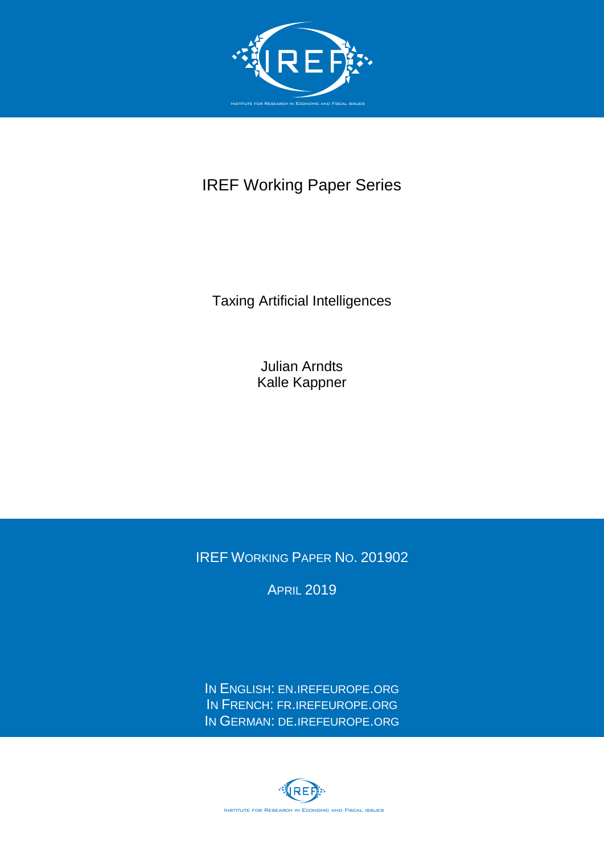

## IREF Working Paper Series

Taxing Artificial Intelligences

Julian Arndts Kalle Kappner

IREF WORKING PAPER NO. 201902

**APRIL 2019** 

IN ENGLISH: EN.[IREFEUROPE](http://en.irefeurope.org/).ORG IN FRENCH: FR.[IREFEUROPE](http://fr.irefeurope.org/).ORG IN GERMAN: DE.[IREFEUROPE](http://de.irefeurope.org/).ORG

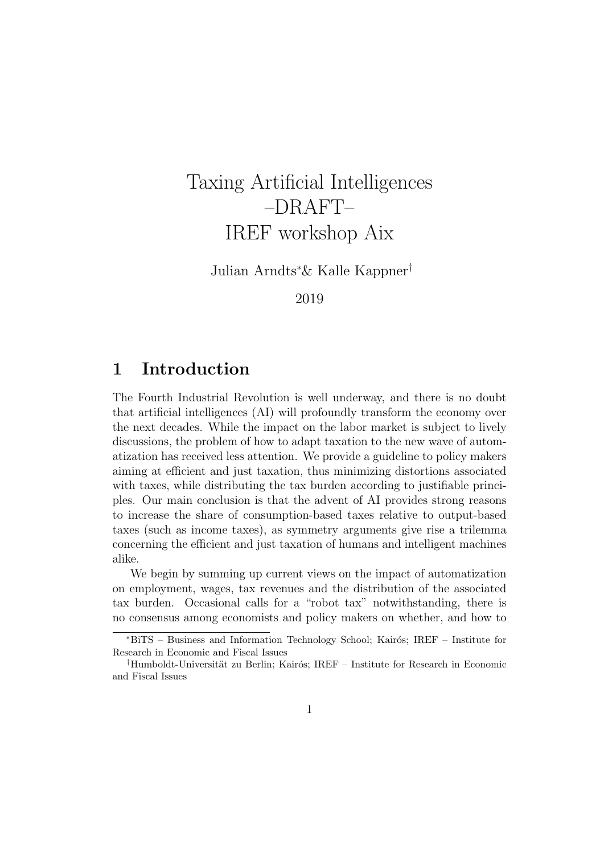# Taxing Artificial Intelligences –DRAFT– IREF workshop Aix

Julian Arndts<sup>∗</sup>& Kalle Kappner†

2019

### 1 Introduction

The Fourth Industrial Revolution is well underway, and there is no doubt that artificial intelligences (AI) will profoundly transform the economy over the next decades. While the impact on the labor market is subject to lively discussions, the problem of how to adapt taxation to the new wave of automatization has received less attention. We provide a guideline to policy makers aiming at efficient and just taxation, thus minimizing distortions associated with taxes, while distributing the tax burden according to justifiable principles. Our main conclusion is that the advent of AI provides strong reasons to increase the share of consumption-based taxes relative to output-based taxes (such as income taxes), as symmetry arguments give rise a trilemma concerning the efficient and just taxation of humans and intelligent machines alike.

We begin by summing up current views on the impact of automatization on employment, wages, tax revenues and the distribution of the associated tax burden. Occasional calls for a "robot tax" notwithstanding, there is no consensus among economists and policy makers on whether, and how to

<sup>&</sup>lt;sup>\*</sup>BiTS – Business and Information Technology School; Kairós; IREF – Institute for Research in Economic and Fiscal Issues

<sup>&</sup>lt;sup>†</sup>Humboldt-Universität zu Berlin; Kairós; IREF – Institute for Research in Economic and Fiscal Issues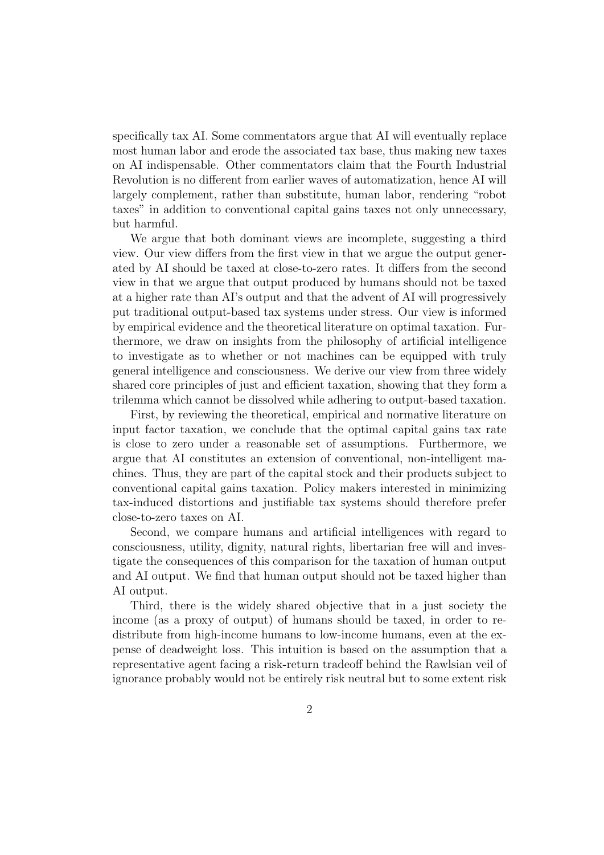specifically tax AI. Some commentators argue that AI will eventually replace most human labor and erode the associated tax base, thus making new taxes on AI indispensable. Other commentators claim that the Fourth Industrial Revolution is no different from earlier waves of automatization, hence AI will largely complement, rather than substitute, human labor, rendering "robot taxes" in addition to conventional capital gains taxes not only unnecessary, but harmful.

We argue that both dominant views are incomplete, suggesting a third view. Our view differs from the first view in that we argue the output generated by AI should be taxed at close-to-zero rates. It differs from the second view in that we argue that output produced by humans should not be taxed at a higher rate than AI's output and that the advent of AI will progressively put traditional output-based tax systems under stress. Our view is informed by empirical evidence and the theoretical literature on optimal taxation. Furthermore, we draw on insights from the philosophy of artificial intelligence to investigate as to whether or not machines can be equipped with truly general intelligence and consciousness. We derive our view from three widely shared core principles of just and efficient taxation, showing that they form a trilemma which cannot be dissolved while adhering to output-based taxation.

First, by reviewing the theoretical, empirical and normative literature on input factor taxation, we conclude that the optimal capital gains tax rate is close to zero under a reasonable set of assumptions. Furthermore, we argue that AI constitutes an extension of conventional, non-intelligent machines. Thus, they are part of the capital stock and their products subject to conventional capital gains taxation. Policy makers interested in minimizing tax-induced distortions and justifiable tax systems should therefore prefer close-to-zero taxes on AI.

Second, we compare humans and artificial intelligences with regard to consciousness, utility, dignity, natural rights, libertarian free will and investigate the consequences of this comparison for the taxation of human output and AI output. We find that human output should not be taxed higher than AI output.

Third, there is the widely shared objective that in a just society the income (as a proxy of output) of humans should be taxed, in order to redistribute from high-income humans to low-income humans, even at the expense of deadweight loss. This intuition is based on the assumption that a representative agent facing a risk-return tradeoff behind the Rawlsian veil of ignorance probably would not be entirely risk neutral but to some extent risk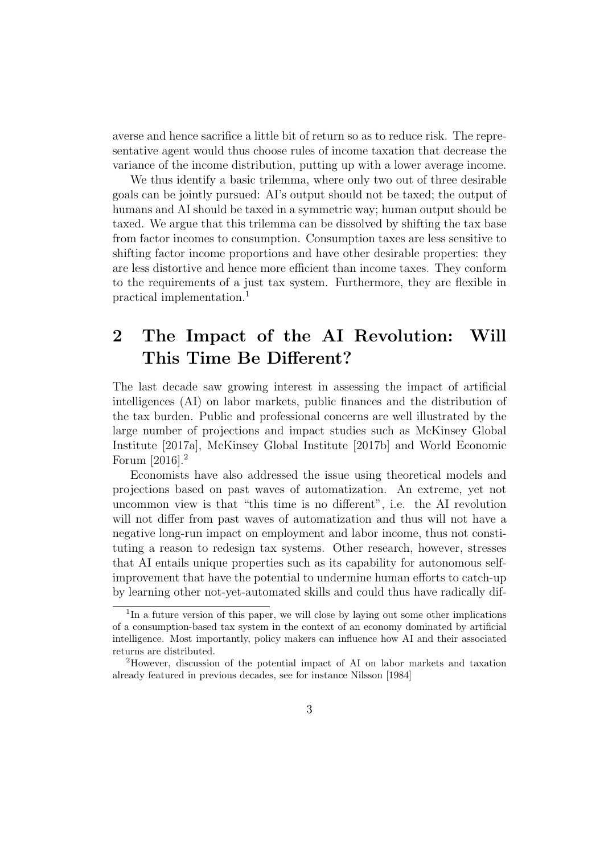averse and hence sacrifice a little bit of return so as to reduce risk. The representative agent would thus choose rules of income taxation that decrease the variance of the income distribution, putting up with a lower average income.

We thus identify a basic trilemma, where only two out of three desirable goals can be jointly pursued: AI's output should not be taxed; the output of humans and AI should be taxed in a symmetric way; human output should be taxed. We argue that this trilemma can be dissolved by shifting the tax base from factor incomes to consumption. Consumption taxes are less sensitive to shifting factor income proportions and have other desirable properties: they are less distortive and hence more efficient than income taxes. They conform to the requirements of a just tax system. Furthermore, they are flexible in practical implementation.<sup>1</sup>

## 2 The Impact of the AI Revolution: Will This Time Be Different?

The last decade saw growing interest in assessing the impact of artificial intelligences (AI) on labor markets, public finances and the distribution of the tax burden. Public and professional concerns are well illustrated by the large number of projections and impact studies such as McKinsey Global Institute [2017a], McKinsey Global Institute [2017b] and World Economic Forum [2016].<sup>2</sup>

Economists have also addressed the issue using theoretical models and projections based on past waves of automatization. An extreme, yet not uncommon view is that "this time is no different", i.e. the AI revolution will not differ from past waves of automatization and thus will not have a negative long-run impact on employment and labor income, thus not constituting a reason to redesign tax systems. Other research, however, stresses that AI entails unique properties such as its capability for autonomous selfimprovement that have the potential to undermine human efforts to catch-up by learning other not-yet-automated skills and could thus have radically dif-

<sup>&</sup>lt;sup>1</sup>In a future version of this paper, we will close by laying out some other implications of a consumption-based tax system in the context of an economy dominated by artificial intelligence. Most importantly, policy makers can influence how AI and their associated returns are distributed.

<sup>2</sup>However, discussion of the potential impact of AI on labor markets and taxation already featured in previous decades, see for instance Nilsson [1984]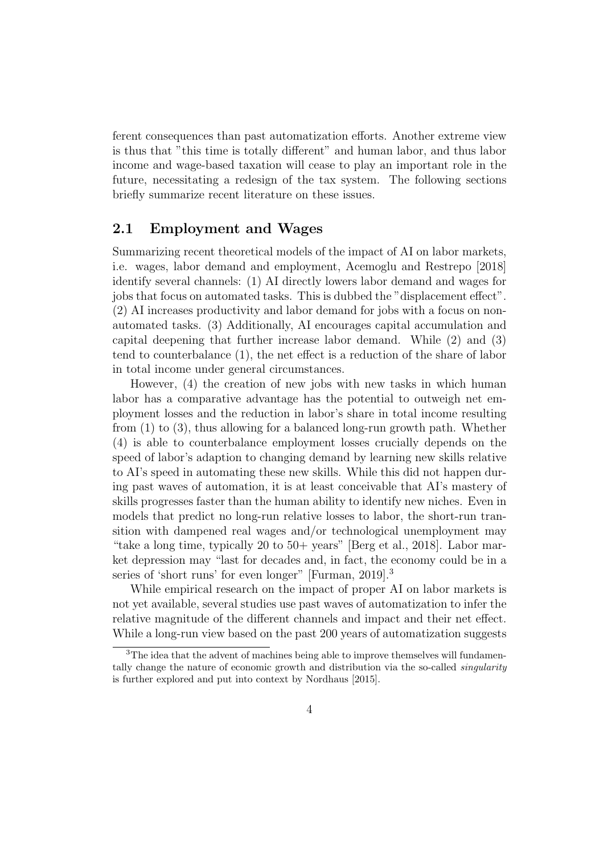ferent consequences than past automatization efforts. Another extreme view is thus that "this time is totally different" and human labor, and thus labor income and wage-based taxation will cease to play an important role in the future, necessitating a redesign of the tax system. The following sections briefly summarize recent literature on these issues.

#### 2.1 Employment and Wages

Summarizing recent theoretical models of the impact of AI on labor markets, i.e. wages, labor demand and employment, Acemoglu and Restrepo [2018] identify several channels: (1) AI directly lowers labor demand and wages for jobs that focus on automated tasks. This is dubbed the "displacement effect". (2) AI increases productivity and labor demand for jobs with a focus on nonautomated tasks. (3) Additionally, AI encourages capital accumulation and capital deepening that further increase labor demand. While (2) and (3) tend to counterbalance (1), the net effect is a reduction of the share of labor in total income under general circumstances.

However, (4) the creation of new jobs with new tasks in which human labor has a comparative advantage has the potential to outweigh net employment losses and the reduction in labor's share in total income resulting from (1) to (3), thus allowing for a balanced long-run growth path. Whether (4) is able to counterbalance employment losses crucially depends on the speed of labor's adaption to changing demand by learning new skills relative to AI's speed in automating these new skills. While this did not happen during past waves of automation, it is at least conceivable that AI's mastery of skills progresses faster than the human ability to identify new niches. Even in models that predict no long-run relative losses to labor, the short-run transition with dampened real wages and/or technological unemployment may "take a long time, typically 20 to 50+ years" [Berg et al., 2018]. Labor market depression may "last for decades and, in fact, the economy could be in a series of 'short runs' for even longer" [Furman, 2019].<sup>3</sup>

While empirical research on the impact of proper AI on labor markets is not yet available, several studies use past waves of automatization to infer the relative magnitude of the different channels and impact and their net effect. While a long-run view based on the past 200 years of automatization suggests

<sup>&</sup>lt;sup>3</sup>The idea that the advent of machines being able to improve themselves will fundamentally change the nature of economic growth and distribution via the so-called singularity is further explored and put into context by Nordhaus [2015].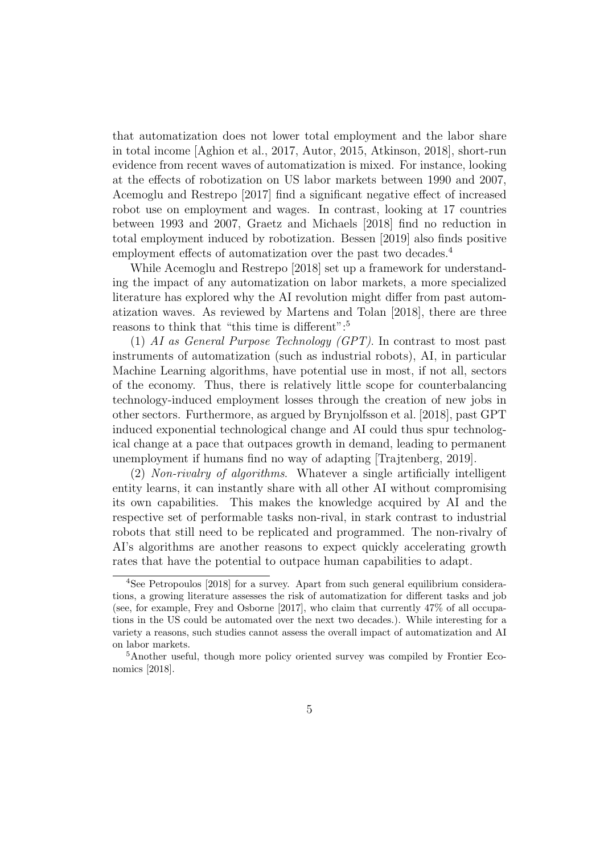that automatization does not lower total employment and the labor share in total income [Aghion et al., 2017, Autor, 2015, Atkinson, 2018], short-run evidence from recent waves of automatization is mixed. For instance, looking at the effects of robotization on US labor markets between 1990 and 2007, Acemoglu and Restrepo [2017] find a significant negative effect of increased robot use on employment and wages. In contrast, looking at 17 countries between 1993 and 2007, Graetz and Michaels [2018] find no reduction in total employment induced by robotization. Bessen [2019] also finds positive employment effects of automatization over the past two decades.<sup>4</sup>

While Acemoglu and Restrepo [2018] set up a framework for understanding the impact of any automatization on labor markets, a more specialized literature has explored why the AI revolution might differ from past automatization waves. As reviewed by Martens and Tolan [2018], there are three reasons to think that "this time is different":<sup>5</sup>

(1) AI as General Purpose Technology (GPT). In contrast to most past instruments of automatization (such as industrial robots), AI, in particular Machine Learning algorithms, have potential use in most, if not all, sectors of the economy. Thus, there is relatively little scope for counterbalancing technology-induced employment losses through the creation of new jobs in other sectors. Furthermore, as argued by Brynjolfsson et al. [2018], past GPT induced exponential technological change and AI could thus spur technological change at a pace that outpaces growth in demand, leading to permanent unemployment if humans find no way of adapting [Trajtenberg, 2019].

(2) Non-rivalry of algorithms. Whatever a single artificially intelligent entity learns, it can instantly share with all other AI without compromising its own capabilities. This makes the knowledge acquired by AI and the respective set of performable tasks non-rival, in stark contrast to industrial robots that still need to be replicated and programmed. The non-rivalry of AI's algorithms are another reasons to expect quickly accelerating growth rates that have the potential to outpace human capabilities to adapt.

<sup>4</sup>See Petropoulos [2018] for a survey. Apart from such general equilibrium considerations, a growing literature assesses the risk of automatization for different tasks and job (see, for example, Frey and Osborne [2017], who claim that currently 47% of all occupations in the US could be automated over the next two decades.). While interesting for a variety a reasons, such studies cannot assess the overall impact of automatization and AI on labor markets.

<sup>&</sup>lt;sup>5</sup>Another useful, though more policy oriented survey was compiled by Frontier Economics [2018].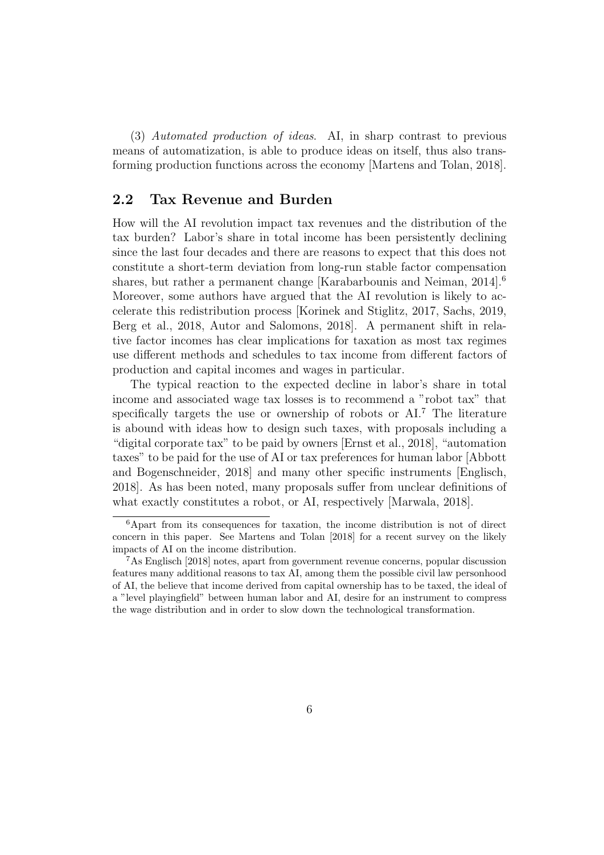(3) Automated production of ideas. AI, in sharp contrast to previous means of automatization, is able to produce ideas on itself, thus also transforming production functions across the economy [Martens and Tolan, 2018].

#### 2.2 Tax Revenue and Burden

How will the AI revolution impact tax revenues and the distribution of the tax burden? Labor's share in total income has been persistently declining since the last four decades and there are reasons to expect that this does not constitute a short-term deviation from long-run stable factor compensation shares, but rather a permanent change [Karabarbounis and Neiman, 2014].<sup>6</sup> Moreover, some authors have argued that the AI revolution is likely to accelerate this redistribution process [Korinek and Stiglitz, 2017, Sachs, 2019, Berg et al., 2018, Autor and Salomons, 2018]. A permanent shift in relative factor incomes has clear implications for taxation as most tax regimes use different methods and schedules to tax income from different factors of production and capital incomes and wages in particular.

The typical reaction to the expected decline in labor's share in total income and associated wage tax losses is to recommend a "robot tax" that specifically targets the use or ownership of robots or AI.<sup>7</sup> The literature is abound with ideas how to design such taxes, with proposals including a "digital corporate tax" to be paid by owners [Ernst et al., 2018], "automation taxes" to be paid for the use of AI or tax preferences for human labor [Abbott and Bogenschneider, 2018] and many other specific instruments [Englisch, 2018]. As has been noted, many proposals suffer from unclear definitions of what exactly constitutes a robot, or AI, respectively [Marwala, 2018].

<sup>6</sup>Apart from its consequences for taxation, the income distribution is not of direct concern in this paper. See Martens and Tolan [2018] for a recent survey on the likely impacts of AI on the income distribution.

<sup>7</sup>As Englisch [2018] notes, apart from government revenue concerns, popular discussion features many additional reasons to tax AI, among them the possible civil law personhood of AI, the believe that income derived from capital ownership has to be taxed, the ideal of a "level playingfield" between human labor and AI, desire for an instrument to compress the wage distribution and in order to slow down the technological transformation.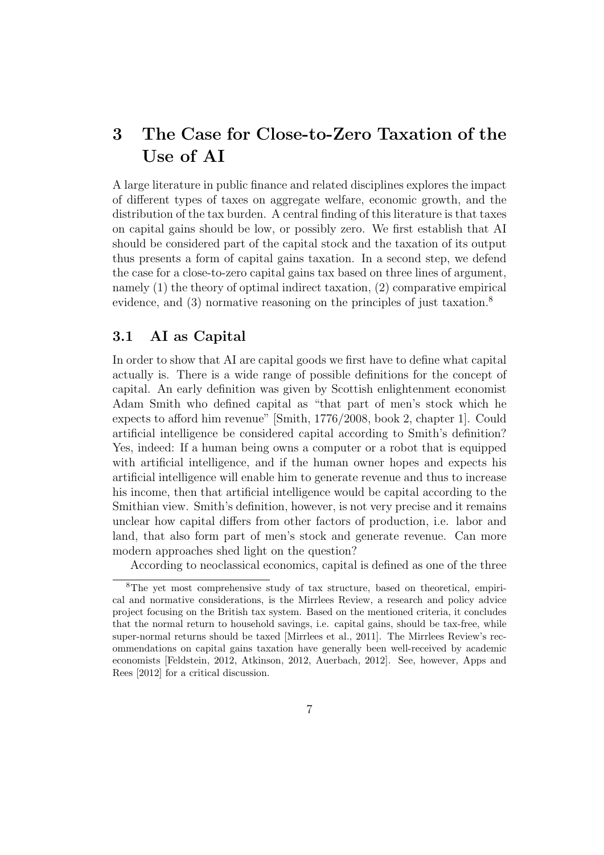## 3 The Case for Close-to-Zero Taxation of the Use of AI

A large literature in public finance and related disciplines explores the impact of different types of taxes on aggregate welfare, economic growth, and the distribution of the tax burden. A central finding of this literature is that taxes on capital gains should be low, or possibly zero. We first establish that AI should be considered part of the capital stock and the taxation of its output thus presents a form of capital gains taxation. In a second step, we defend the case for a close-to-zero capital gains tax based on three lines of argument, namely (1) the theory of optimal indirect taxation, (2) comparative empirical evidence, and (3) normative reasoning on the principles of just taxation.<sup>8</sup>

#### 3.1 AI as Capital

In order to show that AI are capital goods we first have to define what capital actually is. There is a wide range of possible definitions for the concept of capital. An early definition was given by Scottish enlightenment economist Adam Smith who defined capital as "that part of men's stock which he expects to afford him revenue" [Smith, 1776/2008, book 2, chapter 1]. Could artificial intelligence be considered capital according to Smith's definition? Yes, indeed: If a human being owns a computer or a robot that is equipped with artificial intelligence, and if the human owner hopes and expects his artificial intelligence will enable him to generate revenue and thus to increase his income, then that artificial intelligence would be capital according to the Smithian view. Smith's definition, however, is not very precise and it remains unclear how capital differs from other factors of production, i.e. labor and land, that also form part of men's stock and generate revenue. Can more modern approaches shed light on the question?

According to neoclassical economics, capital is defined as one of the three

<sup>&</sup>lt;sup>8</sup>The vet most comprehensive study of tax structure, based on theoretical, empirical and normative considerations, is the Mirrlees Review, a research and policy advice project focusing on the British tax system. Based on the mentioned criteria, it concludes that the normal return to household savings, i.e. capital gains, should be tax-free, while super-normal returns should be taxed [Mirrlees et al., 2011]. The Mirrlees Review's recommendations on capital gains taxation have generally been well-received by academic economists [Feldstein, 2012, Atkinson, 2012, Auerbach, 2012]. See, however, Apps and Rees [2012] for a critical discussion.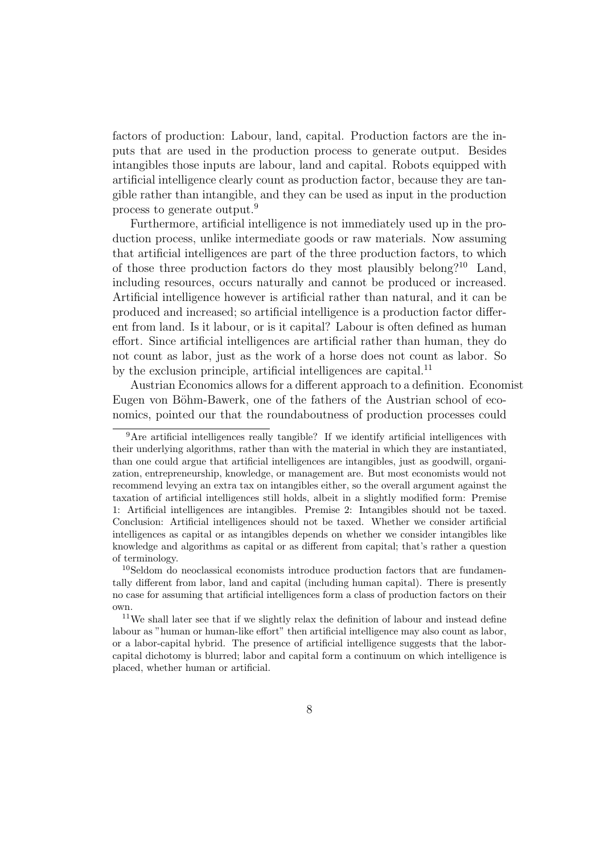factors of production: Labour, land, capital. Production factors are the inputs that are used in the production process to generate output. Besides intangibles those inputs are labour, land and capital. Robots equipped with artificial intelligence clearly count as production factor, because they are tangible rather than intangible, and they can be used as input in the production process to generate output.<sup>9</sup>

Furthermore, artificial intelligence is not immediately used up in the production process, unlike intermediate goods or raw materials. Now assuming that artificial intelligences are part of the three production factors, to which of those three production factors do they most plausibly belong?<sup>10</sup> Land, including resources, occurs naturally and cannot be produced or increased. Artificial intelligence however is artificial rather than natural, and it can be produced and increased; so artificial intelligence is a production factor different from land. Is it labour, or is it capital? Labour is often defined as human effort. Since artificial intelligences are artificial rather than human, they do not count as labor, just as the work of a horse does not count as labor. So by the exclusion principle, artificial intelligences are capital.<sup>11</sup>

Austrian Economics allows for a different approach to a definition. Economist Eugen von Böhm-Bawerk, one of the fathers of the Austrian school of economics, pointed our that the roundaboutness of production processes could

<sup>&</sup>lt;sup>9</sup>Are artificial intelligences really tangible? If we identify artificial intelligences with their underlying algorithms, rather than with the material in which they are instantiated, than one could argue that artificial intelligences are intangibles, just as goodwill, organization, entrepreneurship, knowledge, or management are. But most economists would not recommend levying an extra tax on intangibles either, so the overall argument against the taxation of artificial intelligences still holds, albeit in a slightly modified form: Premise 1: Artificial intelligences are intangibles. Premise 2: Intangibles should not be taxed. Conclusion: Artificial intelligences should not be taxed. Whether we consider artificial intelligences as capital or as intangibles depends on whether we consider intangibles like knowledge and algorithms as capital or as different from capital; that's rather a question of terminology.

<sup>&</sup>lt;sup>10</sup>Seldom do neoclassical economists introduce production factors that are fundamentally different from labor, land and capital (including human capital). There is presently no case for assuming that artificial intelligences form a class of production factors on their own.

<sup>11</sup>We shall later see that if we slightly relax the definition of labour and instead define labour as "human or human-like effort" then artificial intelligence may also count as labor, or a labor-capital hybrid. The presence of artificial intelligence suggests that the laborcapital dichotomy is blurred; labor and capital form a continuum on which intelligence is placed, whether human or artificial.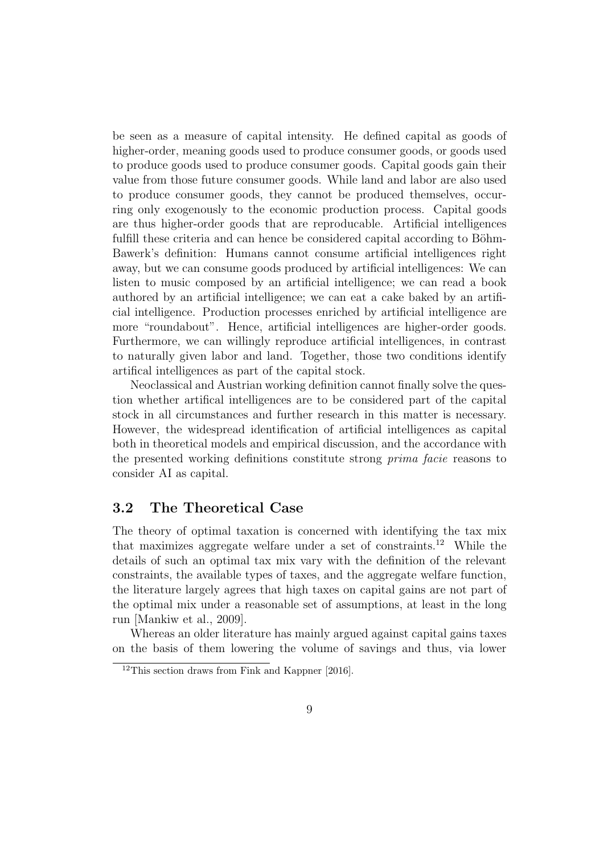be seen as a measure of capital intensity. He defined capital as goods of higher-order, meaning goods used to produce consumer goods, or goods used to produce goods used to produce consumer goods. Capital goods gain their value from those future consumer goods. While land and labor are also used to produce consumer goods, they cannot be produced themselves, occurring only exogenously to the economic production process. Capital goods are thus higher-order goods that are reproducable. Artificial intelligences fulfill these criteria and can hence be considered capital according to Böhm-Bawerk's definition: Humans cannot consume artificial intelligences right away, but we can consume goods produced by artificial intelligences: We can listen to music composed by an artificial intelligence; we can read a book authored by an artificial intelligence; we can eat a cake baked by an artificial intelligence. Production processes enriched by artificial intelligence are more "roundabout". Hence, artificial intelligences are higher-order goods. Furthermore, we can willingly reproduce artificial intelligences, in contrast to naturally given labor and land. Together, those two conditions identify artifical intelligences as part of the capital stock.

Neoclassical and Austrian working definition cannot finally solve the question whether artifical intelligences are to be considered part of the capital stock in all circumstances and further research in this matter is necessary. However, the widespread identification of artificial intelligences as capital both in theoretical models and empirical discussion, and the accordance with the presented working definitions constitute strong prima facie reasons to consider AI as capital.

#### 3.2 The Theoretical Case

The theory of optimal taxation is concerned with identifying the tax mix that maximizes aggregate welfare under a set of constraints.<sup>12</sup> While the details of such an optimal tax mix vary with the definition of the relevant constraints, the available types of taxes, and the aggregate welfare function, the literature largely agrees that high taxes on capital gains are not part of the optimal mix under a reasonable set of assumptions, at least in the long run [Mankiw et al., 2009].

Whereas an older literature has mainly argued against capital gains taxes on the basis of them lowering the volume of savings and thus, via lower

 $12$ This section draws from Fink and Kappner [2016].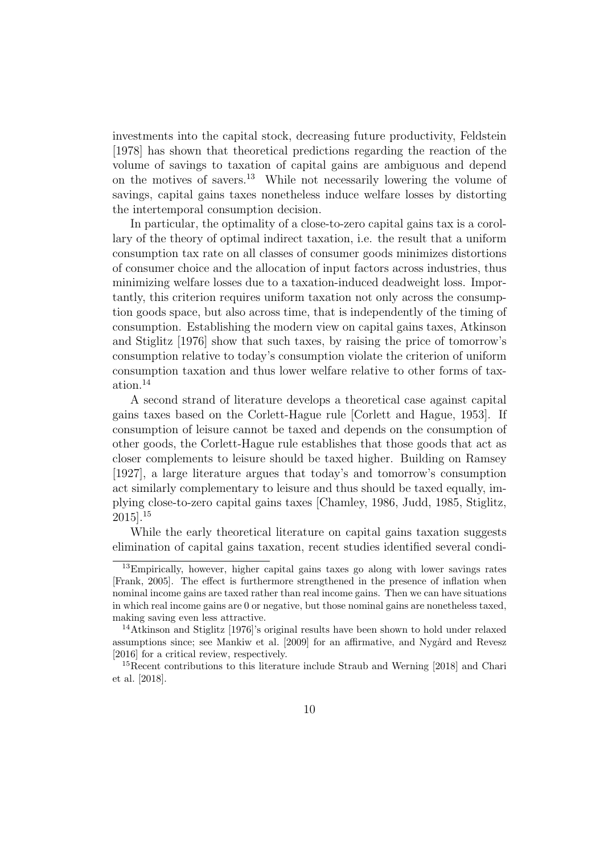investments into the capital stock, decreasing future productivity, Feldstein [1978] has shown that theoretical predictions regarding the reaction of the volume of savings to taxation of capital gains are ambiguous and depend on the motives of savers.<sup>13</sup> While not necessarily lowering the volume of savings, capital gains taxes nonetheless induce welfare losses by distorting the intertemporal consumption decision.

In particular, the optimality of a close-to-zero capital gains tax is a corollary of the theory of optimal indirect taxation, i.e. the result that a uniform consumption tax rate on all classes of consumer goods minimizes distortions of consumer choice and the allocation of input factors across industries, thus minimizing welfare losses due to a taxation-induced deadweight loss. Importantly, this criterion requires uniform taxation not only across the consumption goods space, but also across time, that is independently of the timing of consumption. Establishing the modern view on capital gains taxes, Atkinson and Stiglitz [1976] show that such taxes, by raising the price of tomorrow's consumption relative to today's consumption violate the criterion of uniform consumption taxation and thus lower welfare relative to other forms of taxation.<sup>14</sup>

A second strand of literature develops a theoretical case against capital gains taxes based on the Corlett-Hague rule [Corlett and Hague, 1953]. If consumption of leisure cannot be taxed and depends on the consumption of other goods, the Corlett-Hague rule establishes that those goods that act as closer complements to leisure should be taxed higher. Building on Ramsey [1927], a large literature argues that today's and tomorrow's consumption act similarly complementary to leisure and thus should be taxed equally, implying close-to-zero capital gains taxes [Chamley, 1986, Judd, 1985, Stiglitz, 2015].<sup>15</sup>

While the early theoretical literature on capital gains taxation suggests elimination of capital gains taxation, recent studies identified several condi-

<sup>13</sup>Empirically, however, higher capital gains taxes go along with lower savings rates [Frank, 2005]. The effect is furthermore strengthened in the presence of inflation when nominal income gains are taxed rather than real income gains. Then we can have situations in which real income gains are 0 or negative, but those nominal gains are nonetheless taxed, making saving even less attractive.

<sup>14</sup>Atkinson and Stiglitz [1976]'s original results have been shown to hold under relaxed assumptions since; see Mankiw et al. [2009] for an affirmative, and Nygård and Revesz [2016] for a critical review, respectively.

<sup>&</sup>lt;sup>15</sup>Recent contributions to this literature include Straub and Werning [2018] and Chari et al. [2018].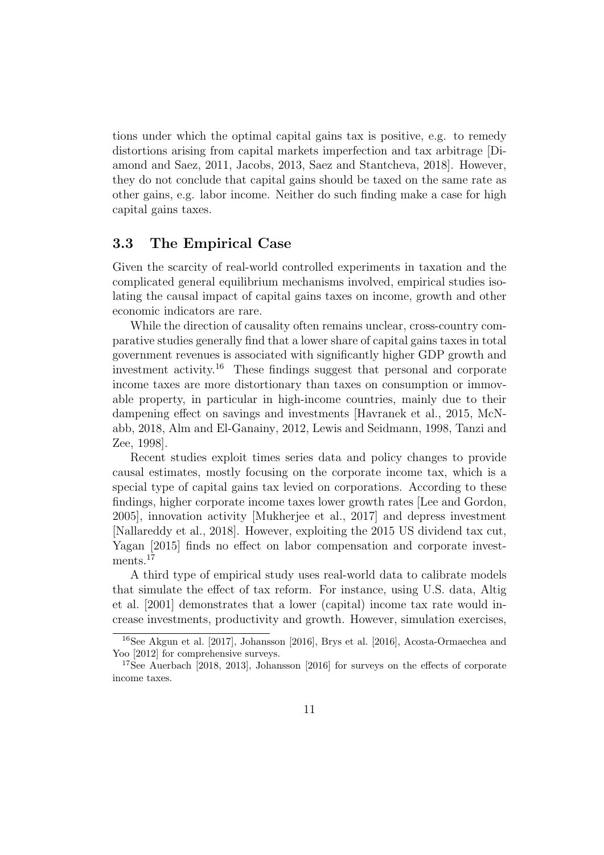tions under which the optimal capital gains tax is positive, e.g. to remedy distortions arising from capital markets imperfection and tax arbitrage [Diamond and Saez, 2011, Jacobs, 2013, Saez and Stantcheva, 2018]. However, they do not conclude that capital gains should be taxed on the same rate as other gains, e.g. labor income. Neither do such finding make a case for high capital gains taxes.

#### 3.3 The Empirical Case

Given the scarcity of real-world controlled experiments in taxation and the complicated general equilibrium mechanisms involved, empirical studies isolating the causal impact of capital gains taxes on income, growth and other economic indicators are rare.

While the direction of causality often remains unclear, cross-country comparative studies generally find that a lower share of capital gains taxes in total government revenues is associated with significantly higher GDP growth and investment activity.<sup>16</sup> These findings suggest that personal and corporate income taxes are more distortionary than taxes on consumption or immovable property, in particular in high-income countries, mainly due to their dampening effect on savings and investments [Havranek et al., 2015, McNabb, 2018, Alm and El-Ganainy, 2012, Lewis and Seidmann, 1998, Tanzi and Zee, 1998].

Recent studies exploit times series data and policy changes to provide causal estimates, mostly focusing on the corporate income tax, which is a special type of capital gains tax levied on corporations. According to these findings, higher corporate income taxes lower growth rates [Lee and Gordon, 2005], innovation activity [Mukherjee et al., 2017] and depress investment [Nallareddy et al., 2018]. However, exploiting the 2015 US dividend tax cut, Yagan [2015] finds no effect on labor compensation and corporate investments.<sup>17</sup>

A third type of empirical study uses real-world data to calibrate models that simulate the effect of tax reform. For instance, using U.S. data, Altig et al. [2001] demonstrates that a lower (capital) income tax rate would increase investments, productivity and growth. However, simulation exercises,

<sup>16</sup>See Akgun et al. [2017], Johansson [2016], Brys et al. [2016], Acosta-Ormaechea and Yoo [2012] for comprehensive surveys.

<sup>&</sup>lt;sup>17</sup>See Auerbach [2018, 2013], Johansson [2016] for surveys on the effects of corporate income taxes.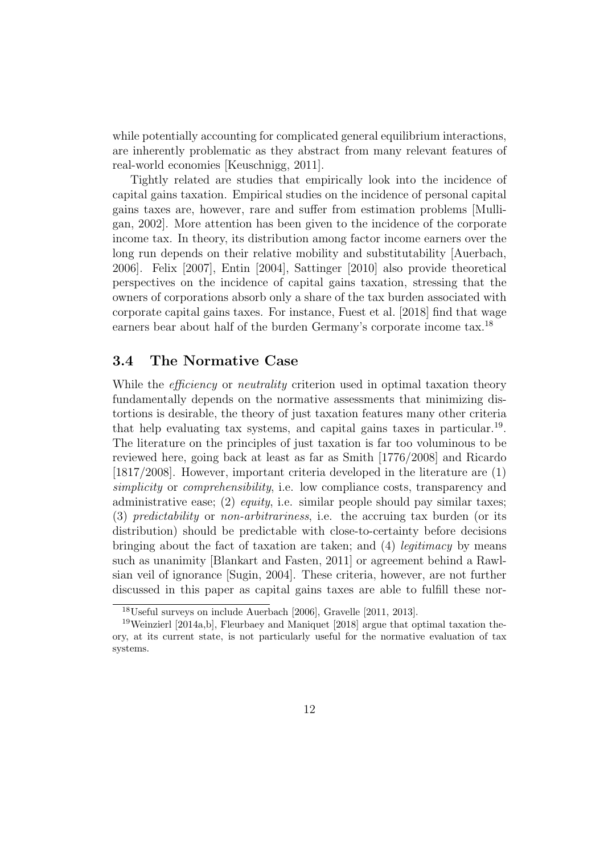while potentially accounting for complicated general equilibrium interactions, are inherently problematic as they abstract from many relevant features of real-world economies [Keuschnigg, 2011].

Tightly related are studies that empirically look into the incidence of capital gains taxation. Empirical studies on the incidence of personal capital gains taxes are, however, rare and suffer from estimation problems [Mulligan, 2002]. More attention has been given to the incidence of the corporate income tax. In theory, its distribution among factor income earners over the long run depends on their relative mobility and substitutability [Auerbach, 2006]. Felix [2007], Entin [2004], Sattinger [2010] also provide theoretical perspectives on the incidence of capital gains taxation, stressing that the owners of corporations absorb only a share of the tax burden associated with corporate capital gains taxes. For instance, Fuest et al. [2018] find that wage earners bear about half of the burden Germany's corporate income tax.<sup>18</sup>

#### 3.4 The Normative Case

While the *efficiency* or *neutrality* criterion used in optimal taxation theory fundamentally depends on the normative assessments that minimizing distortions is desirable, the theory of just taxation features many other criteria that help evaluating tax systems, and capital gains taxes in particular.<sup>19</sup>. The literature on the principles of just taxation is far too voluminous to be reviewed here, going back at least as far as Smith [1776/2008] and Ricardo [1817/2008]. However, important criteria developed in the literature are (1) simplicity or *comprehensibility*, i.e. low compliance costs, transparency and administrative ease; (2) *equity*, i.e. similar people should pay similar taxes; (3) predictability or non-arbitrariness, i.e. the accruing tax burden (or its distribution) should be predictable with close-to-certainty before decisions bringing about the fact of taxation are taken; and (4) legitimacy by means such as unanimity [Blankart and Fasten, 2011] or agreement behind a Rawlsian veil of ignorance [Sugin, 2004]. These criteria, however, are not further discussed in this paper as capital gains taxes are able to fulfill these nor-

<sup>18</sup>Useful surveys on include Auerbach [2006], Gravelle [2011, 2013].

<sup>19</sup>Weinzierl [2014a,b], Fleurbaey and Maniquet [2018] argue that optimal taxation theory, at its current state, is not particularly useful for the normative evaluation of tax systems.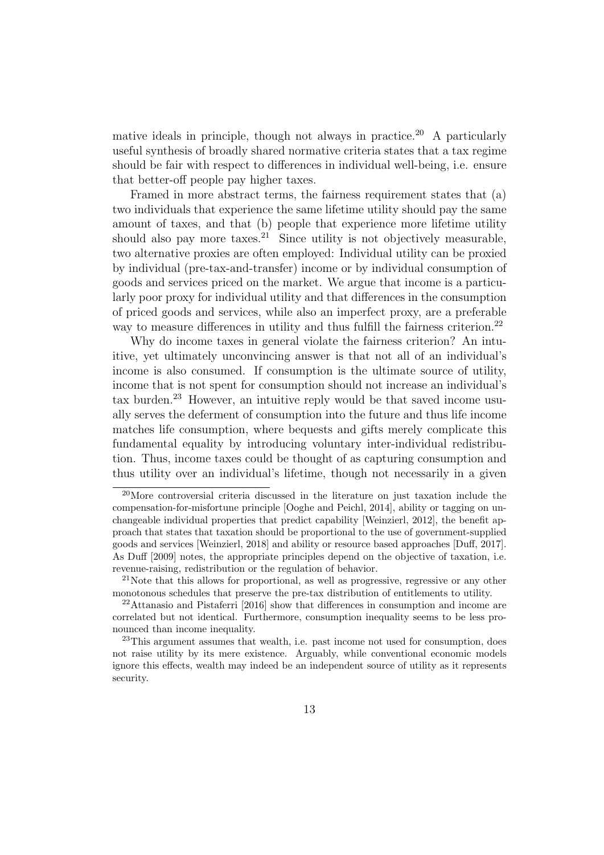mative ideals in principle, though not always in practice.<sup>20</sup> A particularly useful synthesis of broadly shared normative criteria states that a tax regime should be fair with respect to differences in individual well-being, i.e. ensure that better-off people pay higher taxes.

Framed in more abstract terms, the fairness requirement states that (a) two individuals that experience the same lifetime utility should pay the same amount of taxes, and that (b) people that experience more lifetime utility should also pay more taxes.<sup>21</sup> Since utility is not objectively measurable, two alternative proxies are often employed: Individual utility can be proxied by individual (pre-tax-and-transfer) income or by individual consumption of goods and services priced on the market. We argue that income is a particularly poor proxy for individual utility and that differences in the consumption of priced goods and services, while also an imperfect proxy, are a preferable way to measure differences in utility and thus fulfill the fairness criterion.<sup>22</sup>

Why do income taxes in general violate the fairness criterion? An intuitive, yet ultimately unconvincing answer is that not all of an individual's income is also consumed. If consumption is the ultimate source of utility, income that is not spent for consumption should not increase an individual's tax burden.<sup>23</sup> However, an intuitive reply would be that saved income usually serves the deferment of consumption into the future and thus life income matches life consumption, where bequests and gifts merely complicate this fundamental equality by introducing voluntary inter-individual redistribution. Thus, income taxes could be thought of as capturing consumption and thus utility over an individual's lifetime, though not necessarily in a given

<sup>20</sup>More controversial criteria discussed in the literature on just taxation include the compensation-for-misfortune principle [Ooghe and Peichl, 2014], ability or tagging on unchangeable individual properties that predict capability [Weinzierl, 2012], the benefit approach that states that taxation should be proportional to the use of government-supplied goods and services [Weinzierl, 2018] and ability or resource based approaches [Duff, 2017]. As Duff [2009] notes, the appropriate principles depend on the objective of taxation, i.e. revenue-raising, redistribution or the regulation of behavior.

<sup>21</sup>Note that this allows for proportional, as well as progressive, regressive or any other monotonous schedules that preserve the pre-tax distribution of entitlements to utility.

<sup>22</sup>Attanasio and Pistaferri [2016] show that differences in consumption and income are correlated but not identical. Furthermore, consumption inequality seems to be less pronounced than income inequality.

 $^{23}$ This argument assumes that wealth, i.e. past income not used for consumption, does not raise utility by its mere existence. Arguably, while conventional economic models ignore this effects, wealth may indeed be an independent source of utility as it represents security.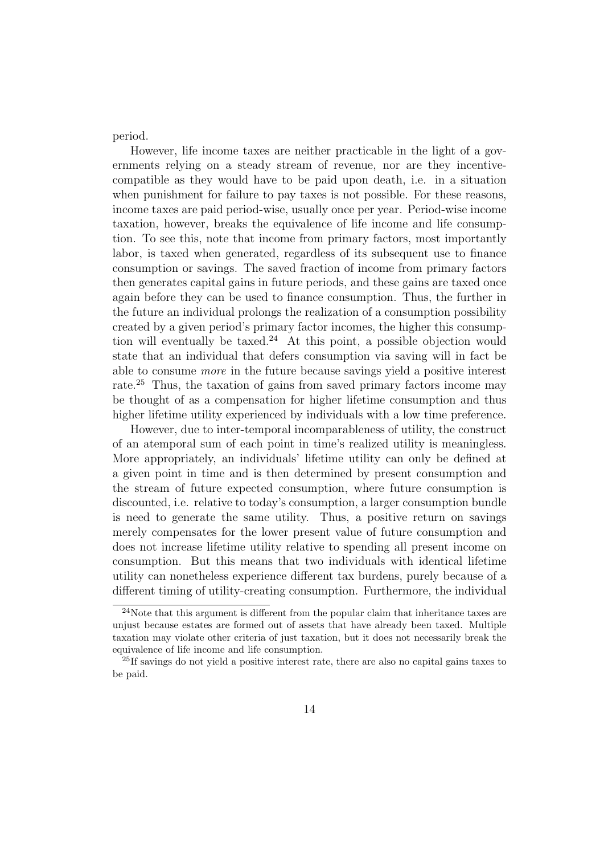period.

However, life income taxes are neither practicable in the light of a governments relying on a steady stream of revenue, nor are they incentivecompatible as they would have to be paid upon death, i.e. in a situation when punishment for failure to pay taxes is not possible. For these reasons, income taxes are paid period-wise, usually once per year. Period-wise income taxation, however, breaks the equivalence of life income and life consumption. To see this, note that income from primary factors, most importantly labor, is taxed when generated, regardless of its subsequent use to finance consumption or savings. The saved fraction of income from primary factors then generates capital gains in future periods, and these gains are taxed once again before they can be used to finance consumption. Thus, the further in the future an individual prolongs the realization of a consumption possibility created by a given period's primary factor incomes, the higher this consumption will eventually be taxed.<sup>24</sup> At this point, a possible objection would state that an individual that defers consumption via saving will in fact be able to consume more in the future because savings yield a positive interest rate.<sup>25</sup> Thus, the taxation of gains from saved primary factors income may be thought of as a compensation for higher lifetime consumption and thus higher lifetime utility experienced by individuals with a low time preference.

However, due to inter-temporal incomparableness of utility, the construct of an atemporal sum of each point in time's realized utility is meaningless. More appropriately, an individuals' lifetime utility can only be defined at a given point in time and is then determined by present consumption and the stream of future expected consumption, where future consumption is discounted, i.e. relative to today's consumption, a larger consumption bundle is need to generate the same utility. Thus, a positive return on savings merely compensates for the lower present value of future consumption and does not increase lifetime utility relative to spending all present income on consumption. But this means that two individuals with identical lifetime utility can nonetheless experience different tax burdens, purely because of a different timing of utility-creating consumption. Furthermore, the individual

<sup>&</sup>lt;sup>24</sup>Note that this argument is different from the popular claim that inheritance taxes are unjust because estates are formed out of assets that have already been taxed. Multiple taxation may violate other criteria of just taxation, but it does not necessarily break the equivalence of life income and life consumption.

<sup>&</sup>lt;sup>25</sup>If savings do not yield a positive interest rate, there are also no capital gains taxes to be paid.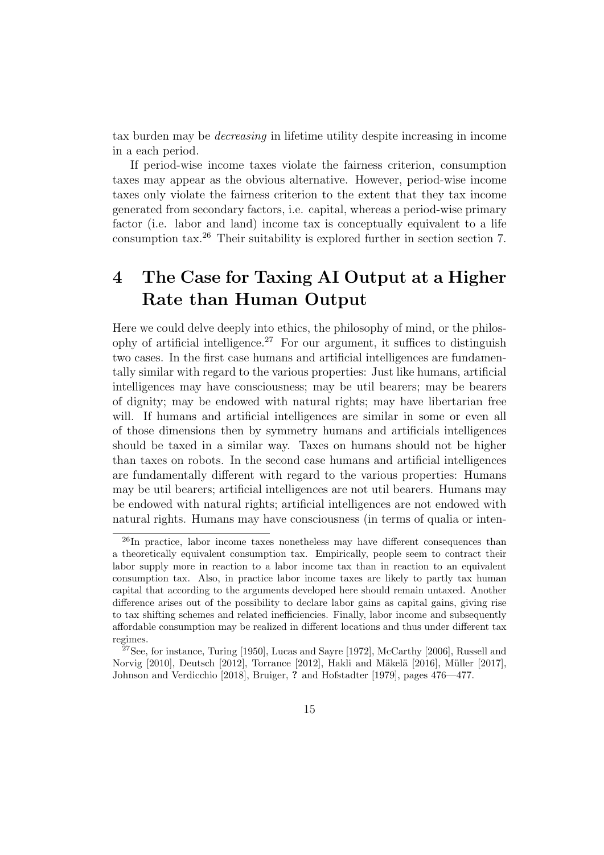tax burden may be decreasing in lifetime utility despite increasing in income in a each period.

If period-wise income taxes violate the fairness criterion, consumption taxes may appear as the obvious alternative. However, period-wise income taxes only violate the fairness criterion to the extent that they tax income generated from secondary factors, i.e. capital, whereas a period-wise primary factor (i.e. labor and land) income tax is conceptually equivalent to a life consumption tax.<sup>26</sup> Their suitability is explored further in section section 7.

## 4 The Case for Taxing AI Output at a Higher Rate than Human Output

Here we could delve deeply into ethics, the philosophy of mind, or the philosophy of artificial intelligence.<sup>27</sup> For our argument, it suffices to distinguish two cases. In the first case humans and artificial intelligences are fundamentally similar with regard to the various properties: Just like humans, artificial intelligences may have consciousness; may be util bearers; may be bearers of dignity; may be endowed with natural rights; may have libertarian free will. If humans and artificial intelligences are similar in some or even all of those dimensions then by symmetry humans and artificials intelligences should be taxed in a similar way. Taxes on humans should not be higher than taxes on robots. In the second case humans and artificial intelligences are fundamentally different with regard to the various properties: Humans may be util bearers; artificial intelligences are not util bearers. Humans may be endowed with natural rights; artificial intelligences are not endowed with natural rights. Humans may have consciousness (in terms of qualia or inten-

<sup>26</sup>In practice, labor income taxes nonetheless may have different consequences than a theoretically equivalent consumption tax. Empirically, people seem to contract their labor supply more in reaction to a labor income tax than in reaction to an equivalent consumption tax. Also, in practice labor income taxes are likely to partly tax human capital that according to the arguments developed here should remain untaxed. Another difference arises out of the possibility to declare labor gains as capital gains, giving rise to tax shifting schemes and related inefficiencies. Finally, labor income and subsequently affordable consumption may be realized in different locations and thus under different tax regimes.

<sup>27</sup>See, for instance, Turing [1950], Lucas and Sayre [1972], McCarthy [2006], Russell and Norvig  $[2010]$ , Deutsch  $[2012]$ , Torrance  $[2012]$ , Hakli and Mäkelä  $[2016]$ , Müller  $[2017]$ , Johnson and Verdicchio [2018], Bruiger, ? and Hofstadter [1979], pages 476—477.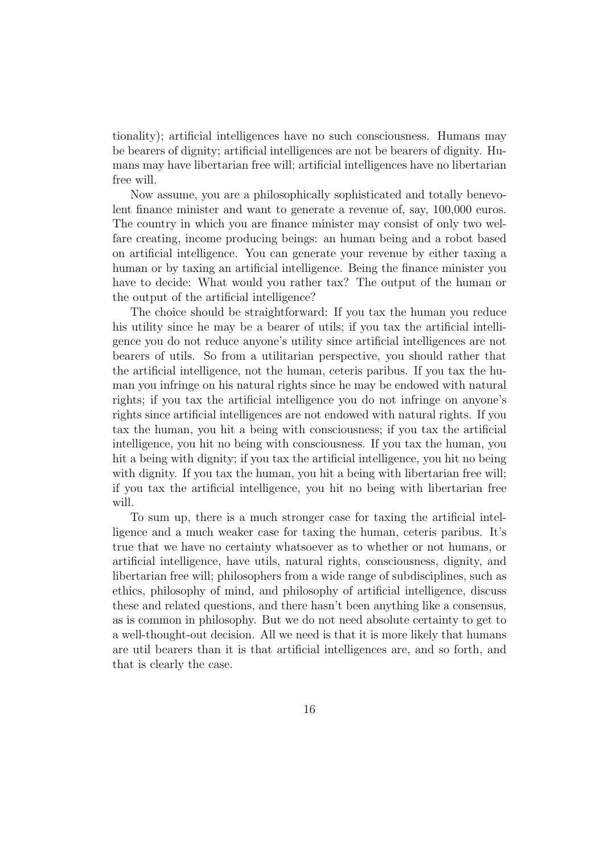tionality); artificial intelligences have no such consciousness. Humans may be bearers of dignity; artificial intelligences are not be bearers of dignity. Humans may have libertarian free will; artificial intelligences have no libertarian free will.

Now assume, you are a philosophically sophisticated and totally benevolent finance minister and want to generate a revenue of, say, 100,000 euros. The country in which you are finance minister may consist of only two welfare creating, income producing beings: an human being and a robot based on artificial intelligence. You can generate your revenue by either taxing a human or by taxing an artificial intelligence. Being the finance minister you have to decide: What would you rather tax? The output of the human or the output of the artificial intelligence?

The choice should be straightforward: If you tax the human you reduce his utility since he may be a bearer of utils; if you tax the artificial intelligence you do not reduce anyone's utility since artificial intelligences are not bearers of utils. So from a utilitarian perspective, you should rather that the artificial intelligence, not the human, ceteris paribus. If you tax the human you infringe on his natural rights since he may be endowed with natural rights; if you tax the artificial intelligence you do not infringe on anyone's rights since artificial intelligences are not endowed with natural rights. If you tax the human, you hit a being with consciousness; if you tax the artificial intelligence, you hit no being with consciousness. If you tax the human, you hit a being with dignity; if you tax the artificial intelligence, you hit no being with dignity. If you tax the human, you hit a being with libertarian free will; if you tax the artificial intelligence, you hit no being with libertarian free will.

To sum up, there is a much stronger case for taxing the artificial intelligence and a much weaker case for taxing the human, ceteris paribus. It's true that we have no certainty whatsoever as to whether or not humans, or artificial intelligence, have utils, natural rights, consciousness, dignity, and libertarian free will; philosophers from a wide range of subdisciplines, such as ethics, philosophy of mind, and philosophy of artificial intelligence, discuss these and related questions, and there hasn't been anything like a consensus, as is common in philosophy. But we do not need absolute certainty to get to a well-thought-out decision. All we need is that it is more likely that humans are util bearers than it is that artificial intelligences are, and so forth, and that is clearly the case.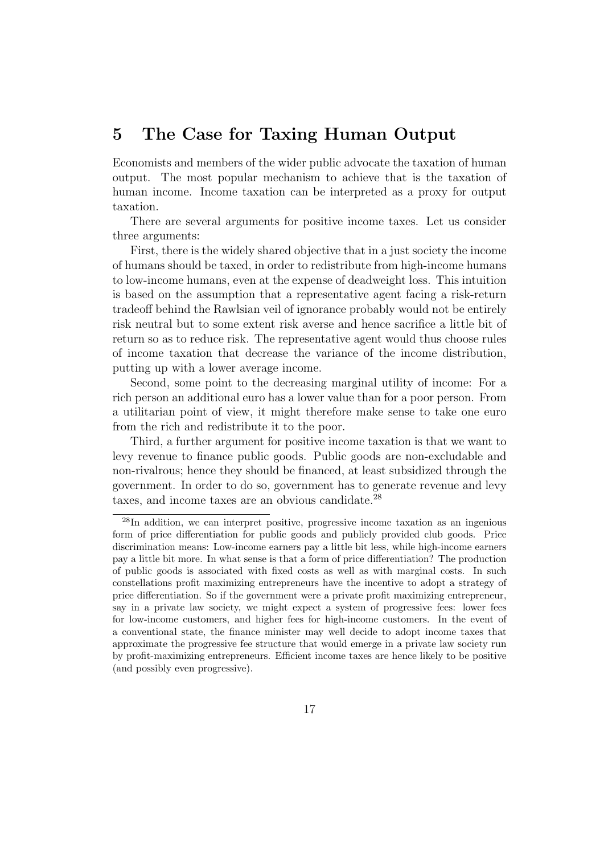### 5 The Case for Taxing Human Output

Economists and members of the wider public advocate the taxation of human output. The most popular mechanism to achieve that is the taxation of human income. Income taxation can be interpreted as a proxy for output taxation.

There are several arguments for positive income taxes. Let us consider three arguments:

First, there is the widely shared objective that in a just society the income of humans should be taxed, in order to redistribute from high-income humans to low-income humans, even at the expense of deadweight loss. This intuition is based on the assumption that a representative agent facing a risk-return tradeoff behind the Rawlsian veil of ignorance probably would not be entirely risk neutral but to some extent risk averse and hence sacrifice a little bit of return so as to reduce risk. The representative agent would thus choose rules of income taxation that decrease the variance of the income distribution, putting up with a lower average income.

Second, some point to the decreasing marginal utility of income: For a rich person an additional euro has a lower value than for a poor person. From a utilitarian point of view, it might therefore make sense to take one euro from the rich and redistribute it to the poor.

Third, a further argument for positive income taxation is that we want to levy revenue to finance public goods. Public goods are non-excludable and non-rivalrous; hence they should be financed, at least subsidized through the government. In order to do so, government has to generate revenue and levy taxes, and income taxes are an obvious candidate.<sup>28</sup>

<sup>28</sup>In addition, we can interpret positive, progressive income taxation as an ingenious form of price differentiation for public goods and publicly provided club goods. Price discrimination means: Low-income earners pay a little bit less, while high-income earners pay a little bit more. In what sense is that a form of price differentiation? The production of public goods is associated with fixed costs as well as with marginal costs. In such constellations profit maximizing entrepreneurs have the incentive to adopt a strategy of price differentiation. So if the government were a private profit maximizing entrepreneur, say in a private law society, we might expect a system of progressive fees: lower fees for low-income customers, and higher fees for high-income customers. In the event of a conventional state, the finance minister may well decide to adopt income taxes that approximate the progressive fee structure that would emerge in a private law society run by profit-maximizing entrepreneurs. Efficient income taxes are hence likely to be positive (and possibly even progressive).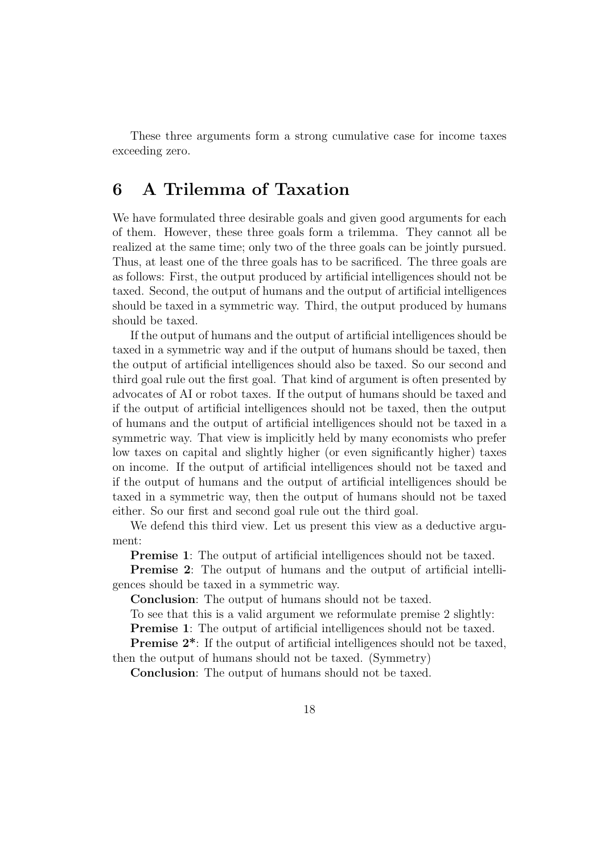These three arguments form a strong cumulative case for income taxes exceeding zero.

### 6 A Trilemma of Taxation

We have formulated three desirable goals and given good arguments for each of them. However, these three goals form a trilemma. They cannot all be realized at the same time; only two of the three goals can be jointly pursued. Thus, at least one of the three goals has to be sacrificed. The three goals are as follows: First, the output produced by artificial intelligences should not be taxed. Second, the output of humans and the output of artificial intelligences should be taxed in a symmetric way. Third, the output produced by humans should be taxed.

If the output of humans and the output of artificial intelligences should be taxed in a symmetric way and if the output of humans should be taxed, then the output of artificial intelligences should also be taxed. So our second and third goal rule out the first goal. That kind of argument is often presented by advocates of AI or robot taxes. If the output of humans should be taxed and if the output of artificial intelligences should not be taxed, then the output of humans and the output of artificial intelligences should not be taxed in a symmetric way. That view is implicitly held by many economists who prefer low taxes on capital and slightly higher (or even significantly higher) taxes on income. If the output of artificial intelligences should not be taxed and if the output of humans and the output of artificial intelligences should be taxed in a symmetric way, then the output of humans should not be taxed either. So our first and second goal rule out the third goal.

We defend this third view. Let us present this view as a deductive argument:

**Premise 1:** The output of artificial intelligences should not be taxed.

Premise 2: The output of humans and the output of artificial intelligences should be taxed in a symmetric way.

Conclusion: The output of humans should not be taxed.

To see that this is a valid argument we reformulate premise 2 slightly:

**Premise 1:** The output of artificial intelligences should not be taxed.

**Premise 2<sup>\*</sup>:** If the output of artificial intelligences should not be taxed, then the output of humans should not be taxed. (Symmetry)

Conclusion: The output of humans should not be taxed.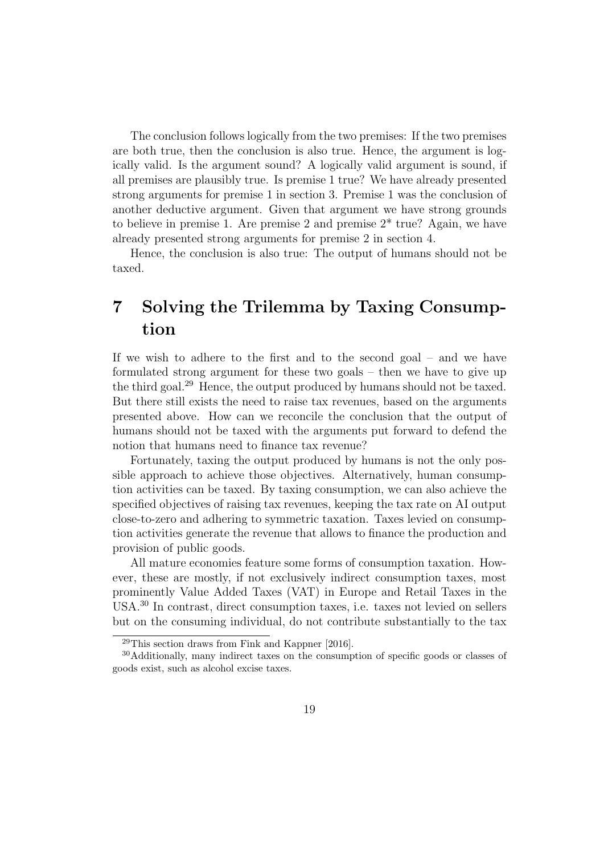The conclusion follows logically from the two premises: If the two premises are both true, then the conclusion is also true. Hence, the argument is logically valid. Is the argument sound? A logically valid argument is sound, if all premises are plausibly true. Is premise 1 true? We have already presented strong arguments for premise 1 in section 3. Premise 1 was the conclusion of another deductive argument. Given that argument we have strong grounds to believe in premise 1. Are premise 2 and premise  $2^*$  true? Again, we have already presented strong arguments for premise 2 in section 4.

Hence, the conclusion is also true: The output of humans should not be taxed.

## 7 Solving the Trilemma by Taxing Consumption

If we wish to adhere to the first and to the second goal – and we have formulated strong argument for these two goals – then we have to give up the third goal.<sup>29</sup> Hence, the output produced by humans should not be taxed. But there still exists the need to raise tax revenues, based on the arguments presented above. How can we reconcile the conclusion that the output of humans should not be taxed with the arguments put forward to defend the notion that humans need to finance tax revenue?

Fortunately, taxing the output produced by humans is not the only possible approach to achieve those objectives. Alternatively, human consumption activities can be taxed. By taxing consumption, we can also achieve the specified objectives of raising tax revenues, keeping the tax rate on AI output close-to-zero and adhering to symmetric taxation. Taxes levied on consumption activities generate the revenue that allows to finance the production and provision of public goods.

All mature economies feature some forms of consumption taxation. However, these are mostly, if not exclusively indirect consumption taxes, most prominently Value Added Taxes (VAT) in Europe and Retail Taxes in the USA.<sup>30</sup> In contrast, direct consumption taxes, i.e. taxes not levied on sellers but on the consuming individual, do not contribute substantially to the tax

<sup>29</sup>This section draws from Fink and Kappner [2016].

<sup>30</sup>Additionally, many indirect taxes on the consumption of specific goods or classes of goods exist, such as alcohol excise taxes.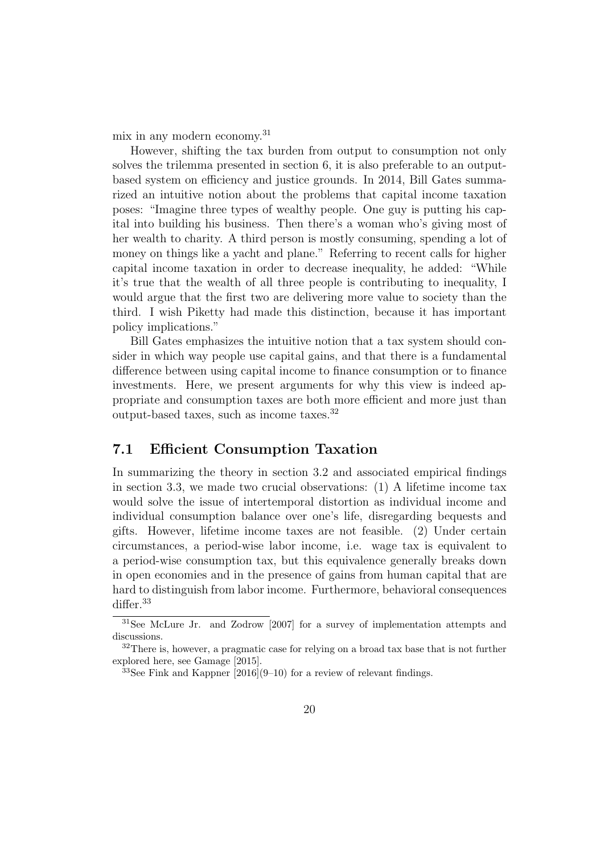mix in any modern economy.<sup>31</sup>

However, shifting the tax burden from output to consumption not only solves the trilemma presented in section 6, it is also preferable to an outputbased system on efficiency and justice grounds. In 2014, Bill Gates summarized an intuitive notion about the problems that capital income taxation poses: "Imagine three types of wealthy people. One guy is putting his capital into building his business. Then there's a woman who's giving most of her wealth to charity. A third person is mostly consuming, spending a lot of money on things like a yacht and plane." Referring to recent calls for higher capital income taxation in order to decrease inequality, he added: "While it's true that the wealth of all three people is contributing to inequality, I would argue that the first two are delivering more value to society than the third. I wish Piketty had made this distinction, because it has important policy implications."

Bill Gates emphasizes the intuitive notion that a tax system should consider in which way people use capital gains, and that there is a fundamental difference between using capital income to finance consumption or to finance investments. Here, we present arguments for why this view is indeed appropriate and consumption taxes are both more efficient and more just than output-based taxes, such as income taxes.<sup>32</sup>

#### 7.1 Efficient Consumption Taxation

In summarizing the theory in section 3.2 and associated empirical findings in section 3.3, we made two crucial observations: (1) A lifetime income tax would solve the issue of intertemporal distortion as individual income and individual consumption balance over one's life, disregarding bequests and gifts. However, lifetime income taxes are not feasible. (2) Under certain circumstances, a period-wise labor income, i.e. wage tax is equivalent to a period-wise consumption tax, but this equivalence generally breaks down in open economies and in the presence of gains from human capital that are hard to distinguish from labor income. Furthermore, behavioral consequences differ.<sup>33</sup>

<sup>31</sup>See McLure Jr. and Zodrow [2007] for a survey of implementation attempts and discussions.

<sup>&</sup>lt;sup>32</sup>There is, however, a pragmatic case for relying on a broad tax base that is not further explored here, see Gamage [2015].

 $33$ See Fink and Kappner  $[2016](9-10)$  for a review of relevant findings.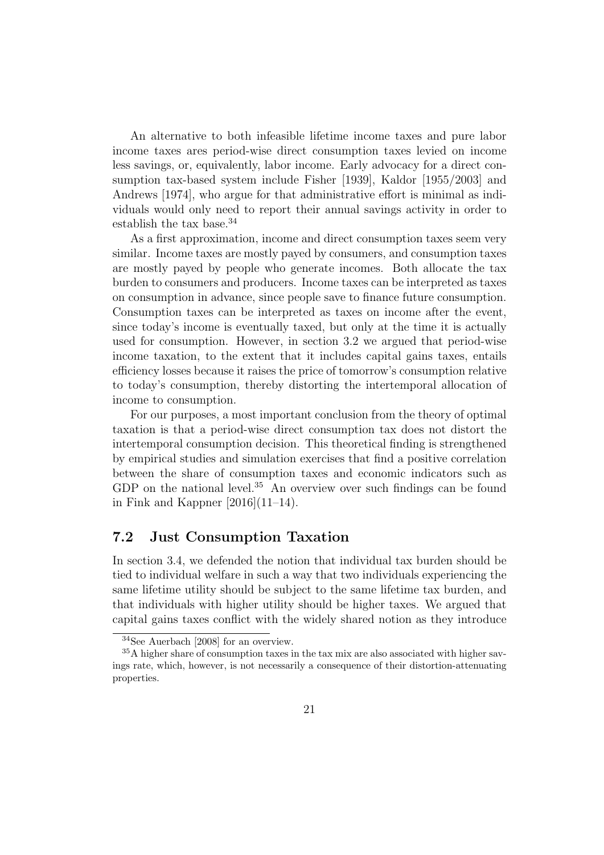An alternative to both infeasible lifetime income taxes and pure labor income taxes ares period-wise direct consumption taxes levied on income less savings, or, equivalently, labor income. Early advocacy for a direct consumption tax-based system include Fisher [1939], Kaldor [1955/2003] and Andrews [1974], who argue for that administrative effort is minimal as individuals would only need to report their annual savings activity in order to establish the tax base.<sup>34</sup>

As a first approximation, income and direct consumption taxes seem very similar. Income taxes are mostly payed by consumers, and consumption taxes are mostly payed by people who generate incomes. Both allocate the tax burden to consumers and producers. Income taxes can be interpreted as taxes on consumption in advance, since people save to finance future consumption. Consumption taxes can be interpreted as taxes on income after the event, since today's income is eventually taxed, but only at the time it is actually used for consumption. However, in section 3.2 we argued that period-wise income taxation, to the extent that it includes capital gains taxes, entails efficiency losses because it raises the price of tomorrow's consumption relative to today's consumption, thereby distorting the intertemporal allocation of income to consumption.

For our purposes, a most important conclusion from the theory of optimal taxation is that a period-wise direct consumption tax does not distort the intertemporal consumption decision. This theoretical finding is strengthened by empirical studies and simulation exercises that find a positive correlation between the share of consumption taxes and economic indicators such as GDP on the national level.<sup>35</sup> An overview over such findings can be found in Fink and Kappner [2016](11–14).

#### 7.2 Just Consumption Taxation

In section 3.4, we defended the notion that individual tax burden should be tied to individual welfare in such a way that two individuals experiencing the same lifetime utility should be subject to the same lifetime tax burden, and that individuals with higher utility should be higher taxes. We argued that capital gains taxes conflict with the widely shared notion as they introduce

<sup>34</sup>See Auerbach [2008] for an overview.

<sup>&</sup>lt;sup>35</sup>A higher share of consumption taxes in the tax mix are also associated with higher savings rate, which, however, is not necessarily a consequence of their distortion-attenuating properties.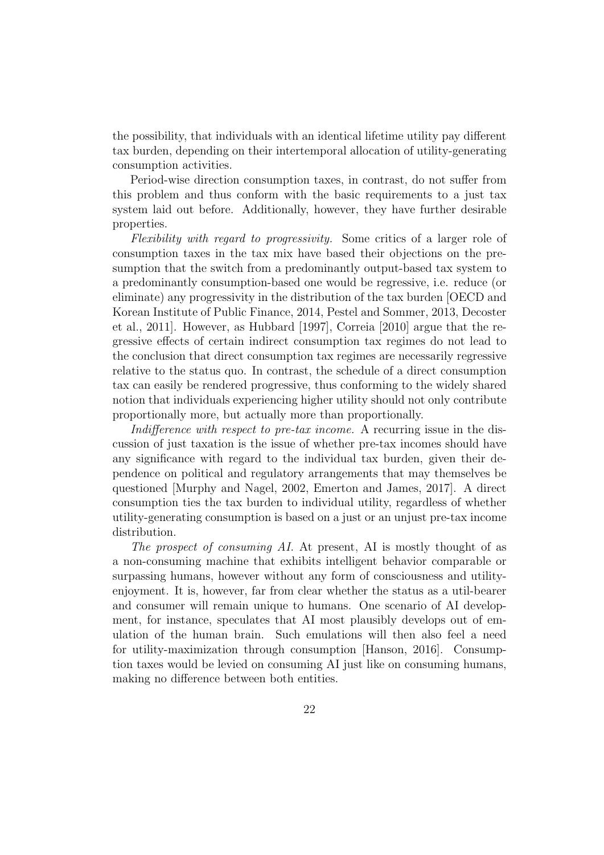the possibility, that individuals with an identical lifetime utility pay different tax burden, depending on their intertemporal allocation of utility-generating consumption activities.

Period-wise direction consumption taxes, in contrast, do not suffer from this problem and thus conform with the basic requirements to a just tax system laid out before. Additionally, however, they have further desirable properties.

Flexibility with regard to progressivity. Some critics of a larger role of consumption taxes in the tax mix have based their objections on the presumption that the switch from a predominantly output-based tax system to a predominantly consumption-based one would be regressive, i.e. reduce (or eliminate) any progressivity in the distribution of the tax burden [OECD and Korean Institute of Public Finance, 2014, Pestel and Sommer, 2013, Decoster et al., 2011]. However, as Hubbard [1997], Correia [2010] argue that the regressive effects of certain indirect consumption tax regimes do not lead to the conclusion that direct consumption tax regimes are necessarily regressive relative to the status quo. In contrast, the schedule of a direct consumption tax can easily be rendered progressive, thus conforming to the widely shared notion that individuals experiencing higher utility should not only contribute proportionally more, but actually more than proportionally.

Indifference with respect to pre-tax income. A recurring issue in the discussion of just taxation is the issue of whether pre-tax incomes should have any significance with regard to the individual tax burden, given their dependence on political and regulatory arrangements that may themselves be questioned [Murphy and Nagel, 2002, Emerton and James, 2017]. A direct consumption ties the tax burden to individual utility, regardless of whether utility-generating consumption is based on a just or an unjust pre-tax income distribution.

The prospect of consuming AI. At present, AI is mostly thought of as a non-consuming machine that exhibits intelligent behavior comparable or surpassing humans, however without any form of consciousness and utilityenjoyment. It is, however, far from clear whether the status as a util-bearer and consumer will remain unique to humans. One scenario of AI development, for instance, speculates that AI most plausibly develops out of emulation of the human brain. Such emulations will then also feel a need for utility-maximization through consumption [Hanson, 2016]. Consumption taxes would be levied on consuming AI just like on consuming humans, making no difference between both entities.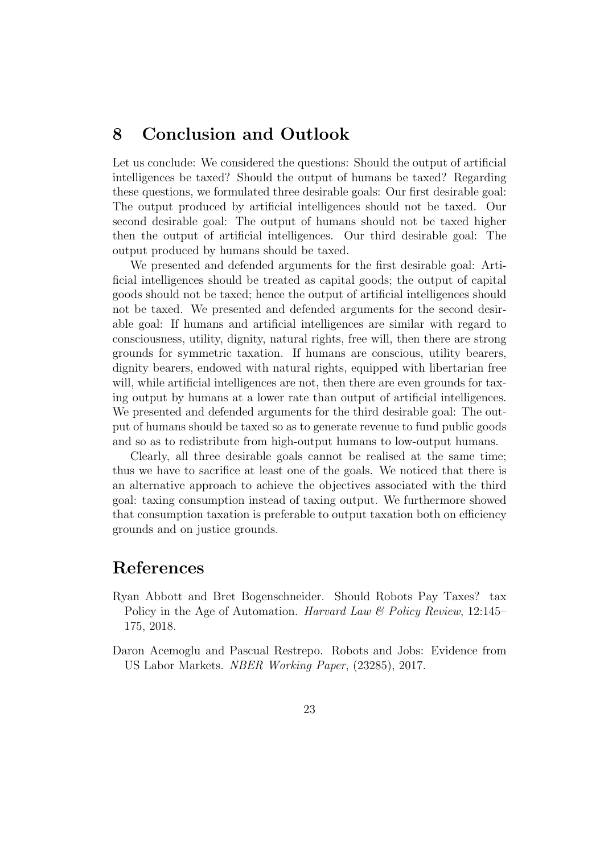### 8 Conclusion and Outlook

Let us conclude: We considered the questions: Should the output of artificial intelligences be taxed? Should the output of humans be taxed? Regarding these questions, we formulated three desirable goals: Our first desirable goal: The output produced by artificial intelligences should not be taxed. Our second desirable goal: The output of humans should not be taxed higher then the output of artificial intelligences. Our third desirable goal: The output produced by humans should be taxed.

We presented and defended arguments for the first desirable goal: Artificial intelligences should be treated as capital goods; the output of capital goods should not be taxed; hence the output of artificial intelligences should not be taxed. We presented and defended arguments for the second desirable goal: If humans and artificial intelligences are similar with regard to consciousness, utility, dignity, natural rights, free will, then there are strong grounds for symmetric taxation. If humans are conscious, utility bearers, dignity bearers, endowed with natural rights, equipped with libertarian free will, while artificial intelligences are not, then there are even grounds for taxing output by humans at a lower rate than output of artificial intelligences. We presented and defended arguments for the third desirable goal: The output of humans should be taxed so as to generate revenue to fund public goods and so as to redistribute from high-output humans to low-output humans.

Clearly, all three desirable goals cannot be realised at the same time; thus we have to sacrifice at least one of the goals. We noticed that there is an alternative approach to achieve the objectives associated with the third goal: taxing consumption instead of taxing output. We furthermore showed that consumption taxation is preferable to output taxation both on efficiency grounds and on justice grounds.

### References

- Ryan Abbott and Bret Bogenschneider. Should Robots Pay Taxes? tax Policy in the Age of Automation. Harvard Law & Policy Review, 12:145– 175, 2018.
- Daron Acemoglu and Pascual Restrepo. Robots and Jobs: Evidence from US Labor Markets. NBER Working Paper, (23285), 2017.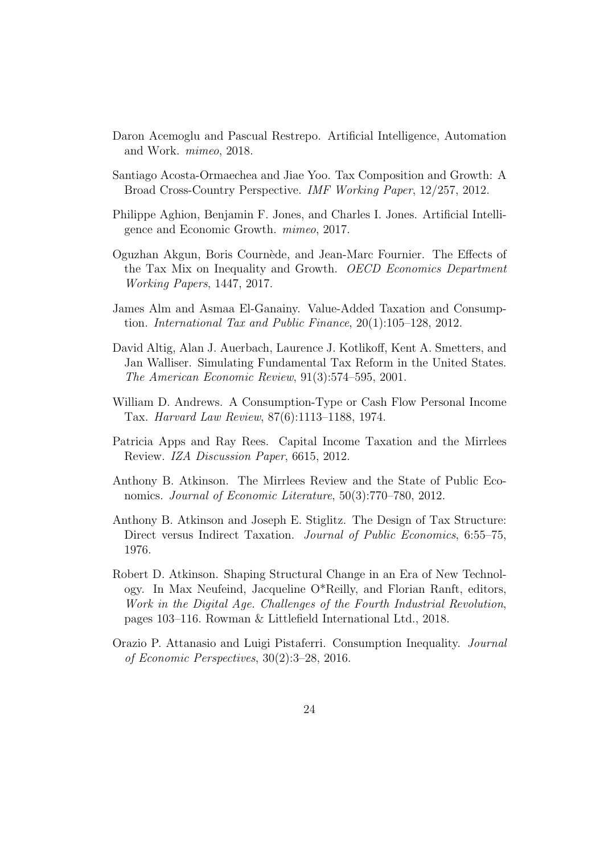- Daron Acemoglu and Pascual Restrepo. Artificial Intelligence, Automation and Work. mimeo, 2018.
- Santiago Acosta-Ormaechea and Jiae Yoo. Tax Composition and Growth: A Broad Cross-Country Perspective. IMF Working Paper, 12/257, 2012.
- Philippe Aghion, Benjamin F. Jones, and Charles I. Jones. Artificial Intelligence and Economic Growth. mimeo, 2017.
- Oguzhan Akgun, Boris Courn`ede, and Jean-Marc Fournier. The Effects of the Tax Mix on Inequality and Growth. OECD Economics Department Working Papers, 1447, 2017.
- James Alm and Asmaa El-Ganainy. Value-Added Taxation and Consumption. International Tax and Public Finance, 20(1):105–128, 2012.
- David Altig, Alan J. Auerbach, Laurence J. Kotlikoff, Kent A. Smetters, and Jan Walliser. Simulating Fundamental Tax Reform in the United States. The American Economic Review, 91(3):574–595, 2001.
- William D. Andrews. A Consumption-Type or Cash Flow Personal Income Tax. Harvard Law Review, 87(6):1113–1188, 1974.
- Patricia Apps and Ray Rees. Capital Income Taxation and the Mirrlees Review. IZA Discussion Paper, 6615, 2012.
- Anthony B. Atkinson. The Mirrlees Review and the State of Public Economics. Journal of Economic Literature, 50(3):770–780, 2012.
- Anthony B. Atkinson and Joseph E. Stiglitz. The Design of Tax Structure: Direct versus Indirect Taxation. *Journal of Public Economics*, 6:55–75, 1976.
- Robert D. Atkinson. Shaping Structural Change in an Era of New Technology. In Max Neufeind, Jacqueline O\*Reilly, and Florian Ranft, editors, Work in the Digital Age. Challenges of the Fourth Industrial Revolution, pages 103–116. Rowman & Littlefield International Ltd., 2018.
- Orazio P. Attanasio and Luigi Pistaferri. Consumption Inequality. Journal of Economic Perspectives, 30(2):3–28, 2016.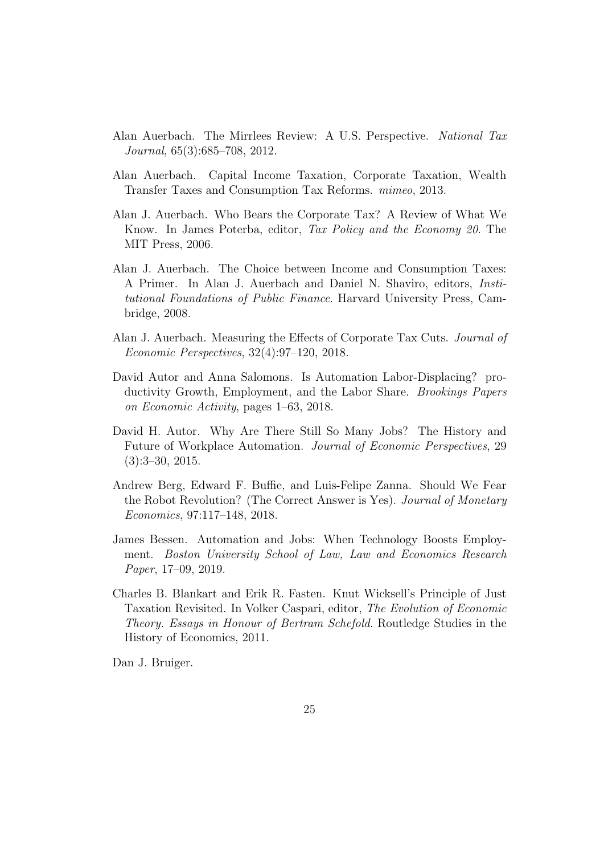- Alan Auerbach. The Mirrlees Review: A U.S. Perspective. National Tax Journal, 65(3):685–708, 2012.
- Alan Auerbach. Capital Income Taxation, Corporate Taxation, Wealth Transfer Taxes and Consumption Tax Reforms. mimeo, 2013.
- Alan J. Auerbach. Who Bears the Corporate Tax? A Review of What We Know. In James Poterba, editor, Tax Policy and the Economy 20. The MIT Press, 2006.
- Alan J. Auerbach. The Choice between Income and Consumption Taxes: A Primer. In Alan J. Auerbach and Daniel N. Shaviro, editors, Institutional Foundations of Public Finance. Harvard University Press, Cambridge, 2008.
- Alan J. Auerbach. Measuring the Effects of Corporate Tax Cuts. Journal of Economic Perspectives, 32(4):97–120, 2018.
- David Autor and Anna Salomons. Is Automation Labor-Displacing? productivity Growth, Employment, and the Labor Share. Brookings Papers on Economic Activity, pages 1–63, 2018.
- David H. Autor. Why Are There Still So Many Jobs? The History and Future of Workplace Automation. Journal of Economic Perspectives, 29 (3):3–30, 2015.
- Andrew Berg, Edward F. Buffie, and Luis-Felipe Zanna. Should We Fear the Robot Revolution? (The Correct Answer is Yes). Journal of Monetary Economics, 97:117–148, 2018.
- James Bessen. Automation and Jobs: When Technology Boosts Employment. Boston University School of Law, Law and Economics Research Paper, 17–09, 2019.
- Charles B. Blankart and Erik R. Fasten. Knut Wicksell's Principle of Just Taxation Revisited. In Volker Caspari, editor, The Evolution of Economic Theory. Essays in Honour of Bertram Schefold. Routledge Studies in the History of Economics, 2011.

Dan J. Bruiger.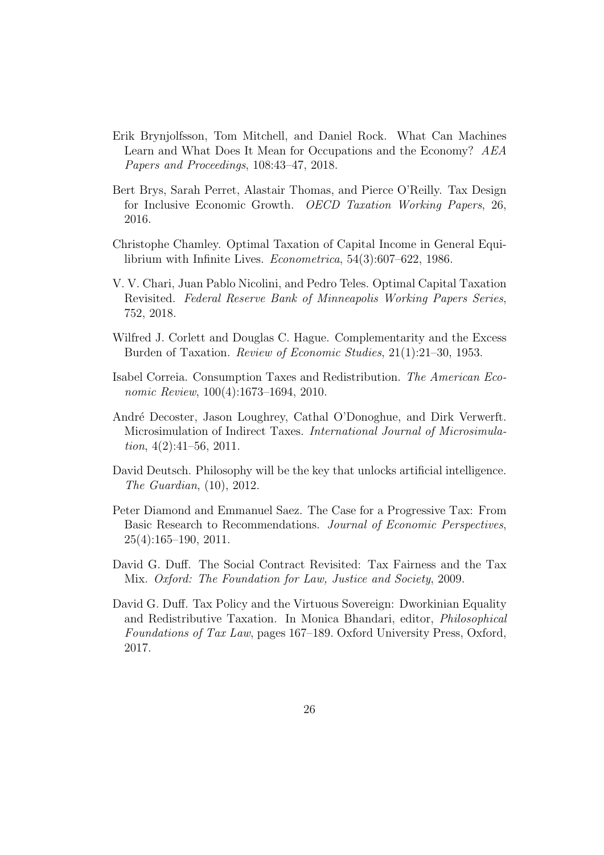- Erik Brynjolfsson, Tom Mitchell, and Daniel Rock. What Can Machines Learn and What Does It Mean for Occupations and the Economy? AEA Papers and Proceedings, 108:43–47, 2018.
- Bert Brys, Sarah Perret, Alastair Thomas, and Pierce O'Reilly. Tax Design for Inclusive Economic Growth. OECD Taxation Working Papers, 26, 2016.
- Christophe Chamley. Optimal Taxation of Capital Income in General Equilibrium with Infinite Lives. Econometrica, 54(3):607–622, 1986.
- V. V. Chari, Juan Pablo Nicolini, and Pedro Teles. Optimal Capital Taxation Revisited. Federal Reserve Bank of Minneapolis Working Papers Series, 752, 2018.
- Wilfred J. Corlett and Douglas C. Hague. Complementarity and the Excess Burden of Taxation. Review of Economic Studies, 21(1):21–30, 1953.
- Isabel Correia. Consumption Taxes and Redistribution. The American Economic Review, 100(4):1673–1694, 2010.
- Andr´e Decoster, Jason Loughrey, Cathal O'Donoghue, and Dirk Verwerft. Microsimulation of Indirect Taxes. International Journal of Microsimulation,  $4(2):41-56$ ,  $2011$ .
- David Deutsch. Philosophy will be the key that unlocks artificial intelligence. The Guardian, (10), 2012.
- Peter Diamond and Emmanuel Saez. The Case for a Progressive Tax: From Basic Research to Recommendations. Journal of Economic Perspectives, 25(4):165–190, 2011.
- David G. Duff. The Social Contract Revisited: Tax Fairness and the Tax Mix. Oxford: The Foundation for Law, Justice and Society, 2009.
- David G. Duff. Tax Policy and the Virtuous Sovereign: Dworkinian Equality and Redistributive Taxation. In Monica Bhandari, editor, Philosophical Foundations of Tax Law, pages 167–189. Oxford University Press, Oxford, 2017.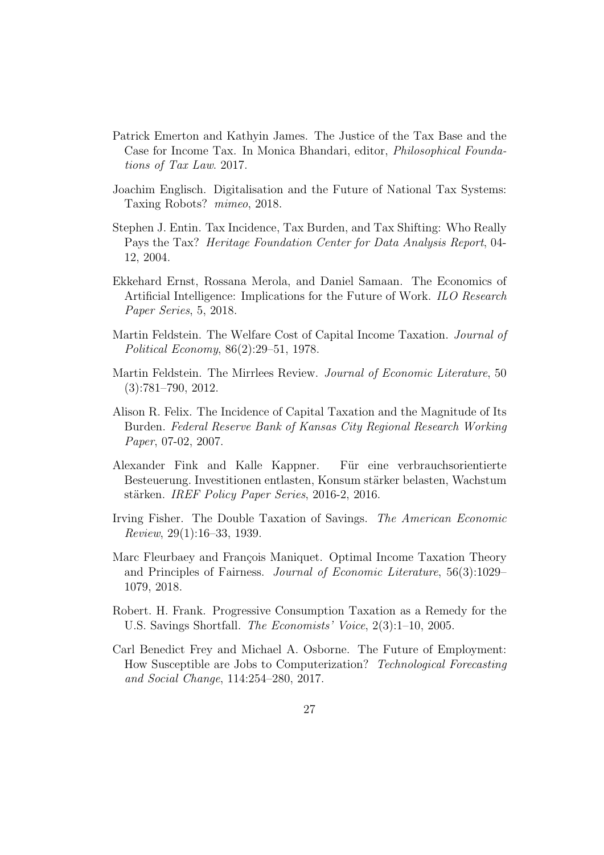- Patrick Emerton and Kathyin James. The Justice of the Tax Base and the Case for Income Tax. In Monica Bhandari, editor, Philosophical Foundations of Tax Law. 2017.
- Joachim Englisch. Digitalisation and the Future of National Tax Systems: Taxing Robots? mimeo, 2018.
- Stephen J. Entin. Tax Incidence, Tax Burden, and Tax Shifting: Who Really Pays the Tax? Heritage Foundation Center for Data Analysis Report, 04- 12, 2004.
- Ekkehard Ernst, Rossana Merola, and Daniel Samaan. The Economics of Artificial Intelligence: Implications for the Future of Work. ILO Research Paper Series, 5, 2018.
- Martin Feldstein. The Welfare Cost of Capital Income Taxation. Journal of Political Economy, 86(2):29–51, 1978.
- Martin Feldstein. The Mirrlees Review. Journal of Economic Literature, 50 (3):781–790, 2012.
- Alison R. Felix. The Incidence of Capital Taxation and the Magnitude of Its Burden. Federal Reserve Bank of Kansas City Regional Research Working Paper, 07-02, 2007.
- Alexander Fink and Kalle Kappner. Für eine verbrauchsorientierte Besteuerung. Investitionen entlasten, Konsum stärker belasten, Wachstum stärken. IREF Policy Paper Series, 2016-2, 2016.
- Irving Fisher. The Double Taxation of Savings. The American Economic Review, 29(1):16–33, 1939.
- Marc Fleurbaey and François Maniquet. Optimal Income Taxation Theory and Principles of Fairness. Journal of Economic Literature, 56(3):1029– 1079, 2018.
- Robert. H. Frank. Progressive Consumption Taxation as a Remedy for the U.S. Savings Shortfall. The Economists' Voice, 2(3):1–10, 2005.
- Carl Benedict Frey and Michael A. Osborne. The Future of Employment: How Susceptible are Jobs to Computerization? Technological Forecasting and Social Change, 114:254–280, 2017.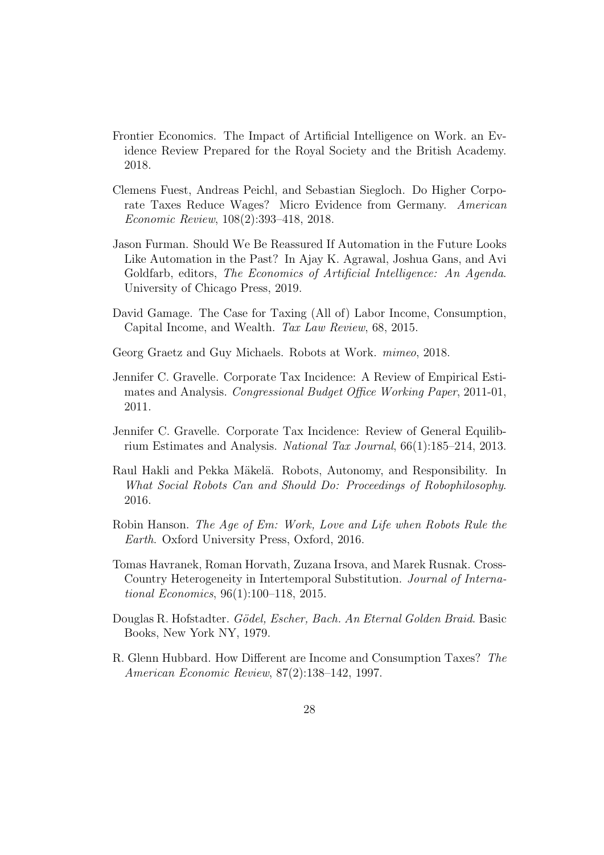- Frontier Economics. The Impact of Artificial Intelligence on Work. an Evidence Review Prepared for the Royal Society and the British Academy. 2018.
- Clemens Fuest, Andreas Peichl, and Sebastian Siegloch. Do Higher Corporate Taxes Reduce Wages? Micro Evidence from Germany. American Economic Review, 108(2):393–418, 2018.
- Jason Furman. Should We Be Reassured If Automation in the Future Looks Like Automation in the Past? In Ajay K. Agrawal, Joshua Gans, and Avi Goldfarb, editors, The Economics of Artificial Intelligence: An Agenda. University of Chicago Press, 2019.
- David Gamage. The Case for Taxing (All of) Labor Income, Consumption, Capital Income, and Wealth. Tax Law Review, 68, 2015.
- Georg Graetz and Guy Michaels. Robots at Work. mimeo, 2018.
- Jennifer C. Gravelle. Corporate Tax Incidence: A Review of Empirical Estimates and Analysis. Congressional Budget Office Working Paper, 2011-01, 2011.
- Jennifer C. Gravelle. Corporate Tax Incidence: Review of General Equilibrium Estimates and Analysis. National Tax Journal, 66(1):185–214, 2013.
- Raul Hakli and Pekka Mäkelä. Robots, Autonomy, and Responsibility. In What Social Robots Can and Should Do: Proceedings of Robophilosophy. 2016.
- Robin Hanson. The Age of Em: Work, Love and Life when Robots Rule the Earth. Oxford University Press, Oxford, 2016.
- Tomas Havranek, Roman Horvath, Zuzana Irsova, and Marek Rusnak. Cross-Country Heterogeneity in Intertemporal Substitution. Journal of International Economics, 96(1):100–118, 2015.
- Douglas R. Hofstadter. Gödel, Escher, Bach. An Eternal Golden Braid. Basic Books, New York NY, 1979.
- R. Glenn Hubbard. How Different are Income and Consumption Taxes? The American Economic Review, 87(2):138–142, 1997.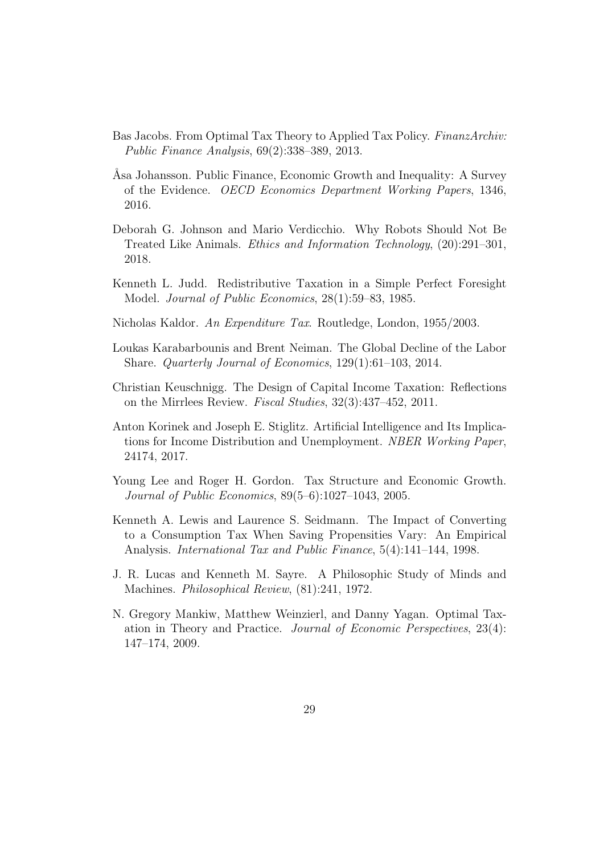- Bas Jacobs. From Optimal Tax Theory to Applied Tax Policy. FinanzArchiv: Public Finance Analysis, 69(2):338–389, 2013.
- Asa Johansson. Public Finance, Economic Growth and Inequality: A Survey of the Evidence. OECD Economics Department Working Papers, 1346, 2016.
- Deborah G. Johnson and Mario Verdicchio. Why Robots Should Not Be Treated Like Animals. Ethics and Information Technology, (20):291–301, 2018.
- Kenneth L. Judd. Redistributive Taxation in a Simple Perfect Foresight Model. Journal of Public Economics, 28(1):59–83, 1985.
- Nicholas Kaldor. An Expenditure Tax. Routledge, London, 1955/2003.
- Loukas Karabarbounis and Brent Neiman. The Global Decline of the Labor Share. Quarterly Journal of Economics, 129(1):61–103, 2014.
- Christian Keuschnigg. The Design of Capital Income Taxation: Reflections on the Mirrlees Review. Fiscal Studies, 32(3):437–452, 2011.
- Anton Korinek and Joseph E. Stiglitz. Artificial Intelligence and Its Implications for Income Distribution and Unemployment. NBER Working Paper, 24174, 2017.
- Young Lee and Roger H. Gordon. Tax Structure and Economic Growth. Journal of Public Economics, 89(5–6):1027–1043, 2005.
- Kenneth A. Lewis and Laurence S. Seidmann. The Impact of Converting to a Consumption Tax When Saving Propensities Vary: An Empirical Analysis. International Tax and Public Finance, 5(4):141–144, 1998.
- J. R. Lucas and Kenneth M. Sayre. A Philosophic Study of Minds and Machines. Philosophical Review, (81):241, 1972.
- N. Gregory Mankiw, Matthew Weinzierl, and Danny Yagan. Optimal Taxation in Theory and Practice. Journal of Economic Perspectives, 23(4): 147–174, 2009.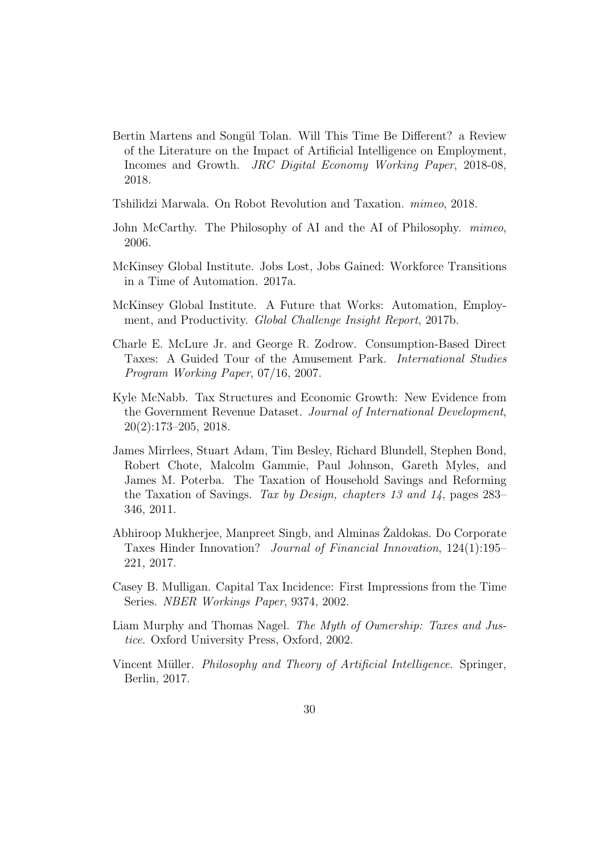- Bertin Martens and Songül Tolan. Will This Time Be Different? a Review of the Literature on the Impact of Artificial Intelligence on Employment, Incomes and Growth. JRC Digital Economy Working Paper, 2018-08, 2018.
- Tshilidzi Marwala. On Robot Revolution and Taxation. mimeo, 2018.
- John McCarthy. The Philosophy of AI and the AI of Philosophy. mimeo, 2006.
- McKinsey Global Institute. Jobs Lost, Jobs Gained: Workforce Transitions in a Time of Automation. 2017a.
- McKinsey Global Institute. A Future that Works: Automation, Employment, and Productivity. Global Challenge Insight Report, 2017b.
- Charle E. McLure Jr. and George R. Zodrow. Consumption-Based Direct Taxes: A Guided Tour of the Amusement Park. International Studies Program Working Paper, 07/16, 2007.
- Kyle McNabb. Tax Structures and Economic Growth: New Evidence from the Government Revenue Dataset. Journal of International Development, 20(2):173–205, 2018.
- James Mirrlees, Stuart Adam, Tim Besley, Richard Blundell, Stephen Bond, Robert Chote, Malcolm Gammie, Paul Johnson, Gareth Myles, and James M. Poterba. The Taxation of Household Savings and Reforming the Taxation of Savings. Tax by Design, chapters 13 and 14, pages 283– 346, 2011.
- Abhiroop Mukherjee, Manpreet Singb, and Alminas Zaldokas. Do Corporate Taxes Hinder Innovation? Journal of Financial Innovation, 124(1):195– 221, 2017.
- Casey B. Mulligan. Capital Tax Incidence: First Impressions from the Time Series. NBER Workings Paper, 9374, 2002.
- Liam Murphy and Thomas Nagel. The Myth of Ownership: Taxes and Justice. Oxford University Press, Oxford, 2002.
- Vincent Müller. *Philosophy and Theory of Artificial Intelligence*. Springer, Berlin, 2017.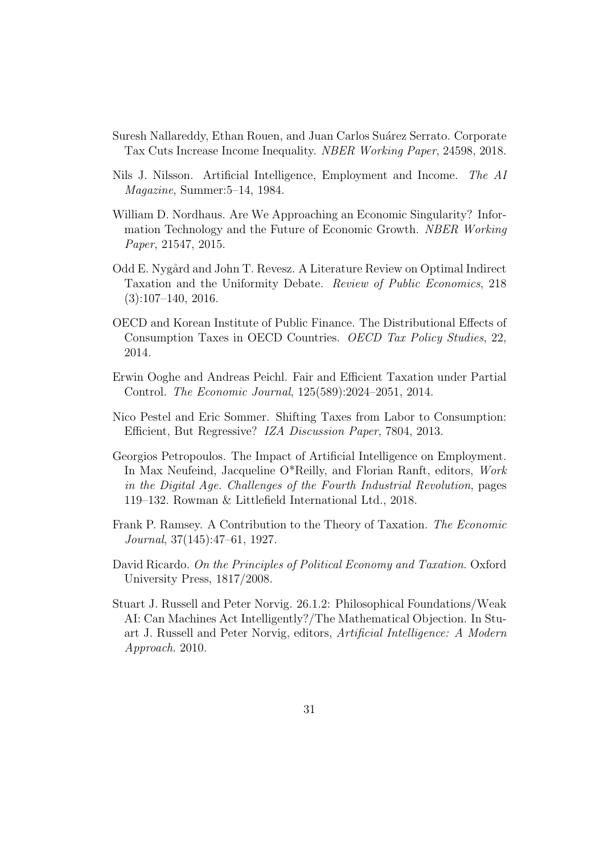- Suresh Nallareddy, Ethan Rouen, and Juan Carlos Suárez Serrato. Corporate Tax Cuts Increase Income Inequality. NBER Working Paper, 24598, 2018.
- Nils J. Nilsson. Artificial Intelligence, Employment and Income. The AI Magazine, Summer:5–14, 1984.
- William D. Nordhaus. Are We Approaching an Economic Singularity? Information Technology and the Future of Economic Growth. NBER Working Paper, 21547, 2015.
- Odd E. Nygård and John T. Revesz. A Literature Review on Optimal Indirect Taxation and the Uniformity Debate. Review of Public Economics, 218  $(3):107-140, 2016.$
- OECD and Korean Institute of Public Finance. The Distributional Effects of Consumption Taxes in OECD Countries. OECD Tax Policy Studies, 22, 2014.
- Erwin Ooghe and Andreas Peichl. Fair and Efficient Taxation under Partial Control. The Economic Journal, 125(589):2024–2051, 2014.
- Nico Pestel and Eric Sommer. Shifting Taxes from Labor to Consumption: Efficient, But Regressive? IZA Discussion Paper, 7804, 2013.
- Georgios Petropoulos. The Impact of Artificial Intelligence on Employment. In Max Neufeind, Jacqueline O\*Reilly, and Florian Ranft, editors, Work in the Digital Age. Challenges of the Fourth Industrial Revolution, pages 119–132. Rowman & Littlefield International Ltd., 2018.
- Frank P. Ramsey. A Contribution to the Theory of Taxation. The Economic Journal, 37(145):47–61, 1927.
- David Ricardo. On the Principles of Political Economy and Taxation. Oxford University Press, 1817/2008.
- Stuart J. Russell and Peter Norvig. 26.1.2: Philosophical Foundations/Weak AI: Can Machines Act Intelligently?/The Mathematical Objection. In Stuart J. Russell and Peter Norvig, editors, Artificial Intelligence: A Modern Approach. 2010.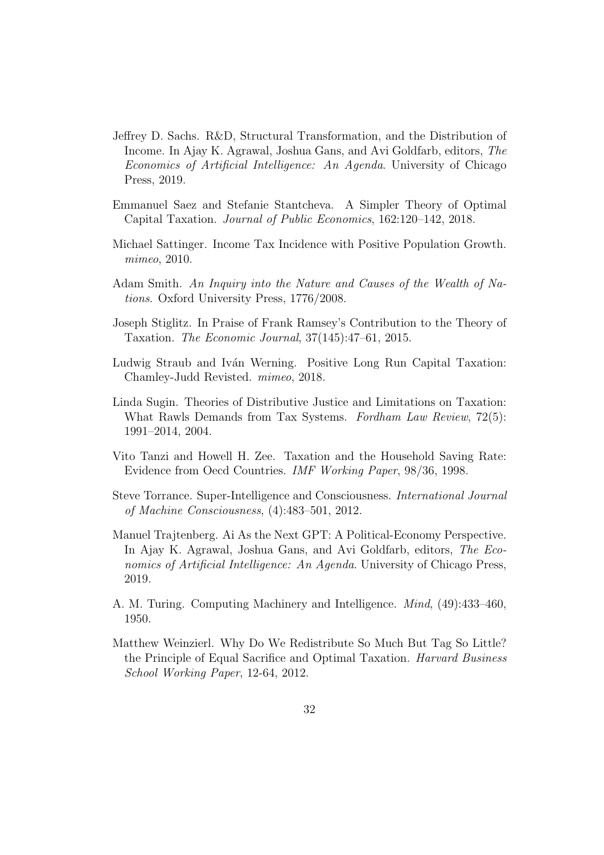- Jeffrey D. Sachs. R&D, Structural Transformation, and the Distribution of Income. In Ajay K. Agrawal, Joshua Gans, and Avi Goldfarb, editors, The Economics of Artificial Intelligence: An Agenda. University of Chicago Press, 2019.
- Emmanuel Saez and Stefanie Stantcheva. A Simpler Theory of Optimal Capital Taxation. Journal of Public Economics, 162:120–142, 2018.
- Michael Sattinger. Income Tax Incidence with Positive Population Growth. mimeo, 2010.
- Adam Smith. An Inquiry into the Nature and Causes of the Wealth of Nations. Oxford University Press, 1776/2008.
- Joseph Stiglitz. In Praise of Frank Ramsey's Contribution to the Theory of Taxation. The Economic Journal, 37(145):47–61, 2015.
- Ludwig Straub and Iván Werning. Positive Long Run Capital Taxation: Chamley-Judd Revisted. mimeo, 2018.
- Linda Sugin. Theories of Distributive Justice and Limitations on Taxation: What Rawls Demands from Tax Systems. Fordham Law Review, 72(5): 1991–2014, 2004.
- Vito Tanzi and Howell H. Zee. Taxation and the Household Saving Rate: Evidence from Oecd Countries. IMF Working Paper, 98/36, 1998.
- Steve Torrance. Super-Intelligence and Consciousness. International Journal of Machine Consciousness, (4):483–501, 2012.
- Manuel Trajtenberg. Ai As the Next GPT: A Political-Economy Perspective. In Ajay K. Agrawal, Joshua Gans, and Avi Goldfarb, editors, The Economics of Artificial Intelligence: An Agenda. University of Chicago Press, 2019.
- A. M. Turing. Computing Machinery and Intelligence. Mind, (49):433–460, 1950.
- Matthew Weinzierl. Why Do We Redistribute So Much But Tag So Little? the Principle of Equal Sacrifice and Optimal Taxation. Harvard Business School Working Paper, 12-64, 2012.